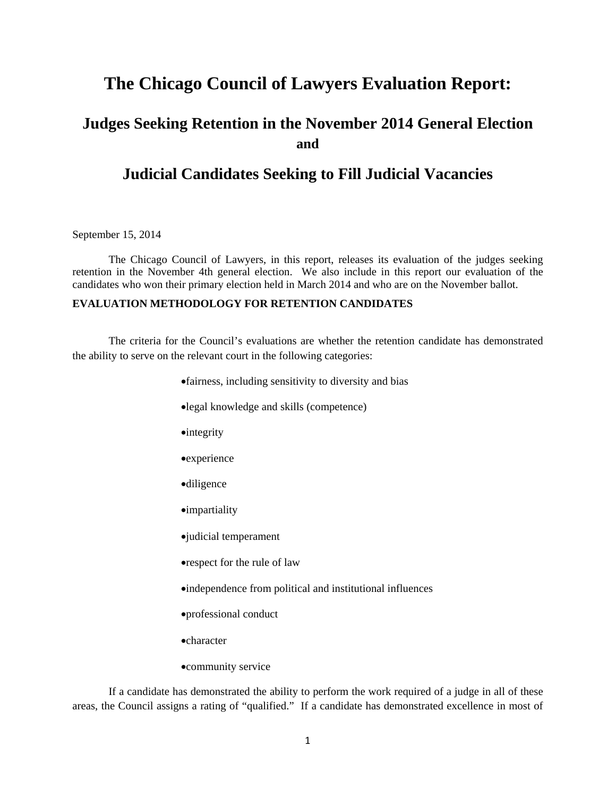# **The Chicago Council of Lawyers Evaluation Report:**

# **Judges Seeking Retention in the November 2014 General Election and**

# **Judicial Candidates Seeking to Fill Judicial Vacancies**

September 15, 2014

 The Chicago Council of Lawyers, in this report, releases its evaluation of the judges seeking retention in the November 4th general election. We also include in this report our evaluation of the candidates who won their primary election held in March 2014 and who are on the November ballot.

#### **EVALUATION METHODOLOGY FOR RETENTION CANDIDATES**

The criteria for the Council's evaluations are whether the retention candidate has demonstrated the ability to serve on the relevant court in the following categories:

- fairness, including sensitivity to diversity and bias
- legal knowledge and skills (competence)
- **•**integrity
- **•**experience
- diligence
- impartiality
- judicial temperament
- respect for the rule of law
- independence from political and institutional influences
- professional conduct
- character
- community service

If a candidate has demonstrated the ability to perform the work required of a judge in all of these areas, the Council assigns a rating of "qualified." If a candidate has demonstrated excellence in most of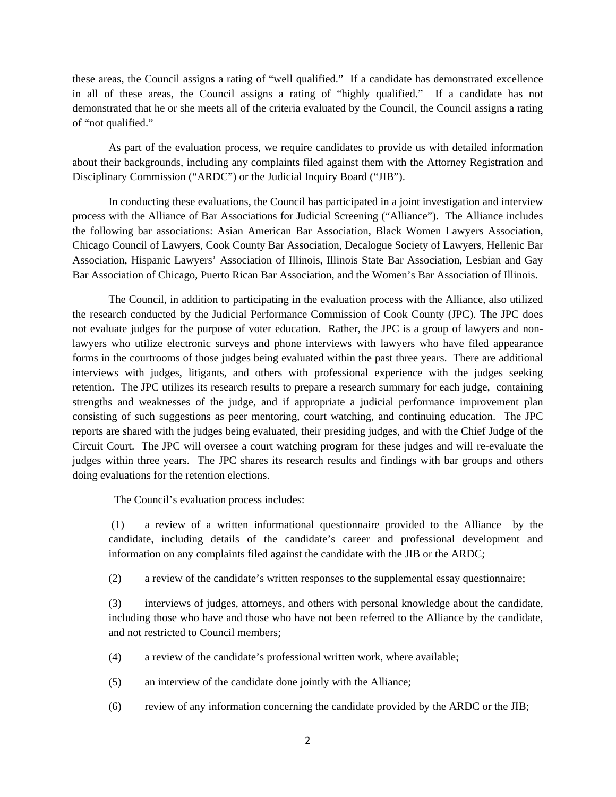these areas, the Council assigns a rating of "well qualified." If a candidate has demonstrated excellence in all of these areas, the Council assigns a rating of "highly qualified." If a candidate has not demonstrated that he or she meets all of the criteria evaluated by the Council, the Council assigns a rating of "not qualified."

As part of the evaluation process, we require candidates to provide us with detailed information about their backgrounds, including any complaints filed against them with the Attorney Registration and Disciplinary Commission ("ARDC") or the Judicial Inquiry Board ("JIB").

In conducting these evaluations, the Council has participated in a joint investigation and interview process with the Alliance of Bar Associations for Judicial Screening ("Alliance"). The Alliance includes the following bar associations: Asian American Bar Association, Black Women Lawyers Association, Chicago Council of Lawyers, Cook County Bar Association, Decalogue Society of Lawyers, Hellenic Bar Association, Hispanic Lawyers' Association of Illinois, Illinois State Bar Association, Lesbian and Gay Bar Association of Chicago, Puerto Rican Bar Association, and the Women's Bar Association of Illinois.

 The Council, in addition to participating in the evaluation process with the Alliance, also utilized the research conducted by the Judicial Performance Commission of Cook County (JPC). The JPC does not evaluate judges for the purpose of voter education. Rather, the JPC is a group of lawyers and nonlawyers who utilize electronic surveys and phone interviews with lawyers who have filed appearance forms in the courtrooms of those judges being evaluated within the past three years. There are additional interviews with judges, litigants, and others with professional experience with the judges seeking retention. The JPC utilizes its research results to prepare a research summary for each judge, containing strengths and weaknesses of the judge, and if appropriate a judicial performance improvement plan consisting of such suggestions as peer mentoring, court watching, and continuing education. The JPC reports are shared with the judges being evaluated, their presiding judges, and with the Chief Judge of the Circuit Court. The JPC will oversee a court watching program for these judges and will re-evaluate the judges within three years. The JPC shares its research results and findings with bar groups and others doing evaluations for the retention elections.

The Council's evaluation process includes:

 (1) a review of a written informational questionnaire provided to the Alliance by the candidate, including details of the candidate's career and professional development and information on any complaints filed against the candidate with the JIB or the ARDC;

(2) a review of the candidate's written responses to the supplemental essay questionnaire;

(3) interviews of judges, attorneys, and others with personal knowledge about the candidate, including those who have and those who have not been referred to the Alliance by the candidate, and not restricted to Council members;

- (4) a review of the candidate's professional written work, where available;
- (5) an interview of the candidate done jointly with the Alliance;
- (6) review of any information concerning the candidate provided by the ARDC or the JIB;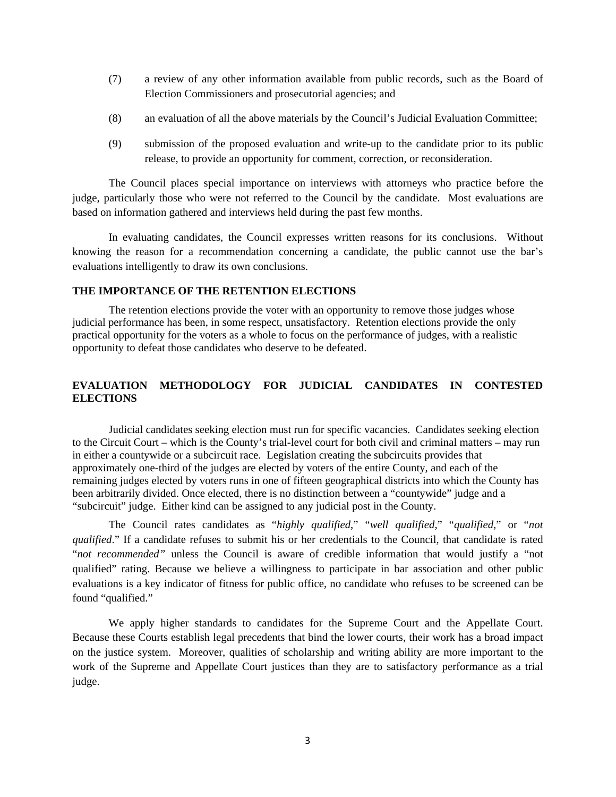- (7) a review of any other information available from public records, such as the Board of Election Commissioners and prosecutorial agencies; and
- (8) an evaluation of all the above materials by the Council's Judicial Evaluation Committee;
- (9) submission of the proposed evaluation and write-up to the candidate prior to its public release, to provide an opportunity for comment, correction, or reconsideration.

The Council places special importance on interviews with attorneys who practice before the judge, particularly those who were not referred to the Council by the candidate. Most evaluations are based on information gathered and interviews held during the past few months.

In evaluating candidates, the Council expresses written reasons for its conclusions. Without knowing the reason for a recommendation concerning a candidate, the public cannot use the bar's evaluations intelligently to draw its own conclusions.

#### **THE IMPORTANCE OF THE RETENTION ELECTIONS**

The retention elections provide the voter with an opportunity to remove those judges whose judicial performance has been, in some respect, unsatisfactory. Retention elections provide the only practical opportunity for the voters as a whole to focus on the performance of judges, with a realistic opportunity to defeat those candidates who deserve to be defeated.

### **EVALUATION METHODOLOGY FOR JUDICIAL CANDIDATES IN CONTESTED ELECTIONS**

Judicial candidates seeking election must run for specific vacancies. Candidates seeking election to the Circuit Court – which is the County's trial-level court for both civil and criminal matters – may run in either a countywide or a subcircuit race. Legislation creating the subcircuits provides that approximately one-third of the judges are elected by voters of the entire County, and each of the remaining judges elected by voters runs in one of fifteen geographical districts into which the County has been arbitrarily divided. Once elected, there is no distinction between a "countywide" judge and a "subcircuit" judge. Either kind can be assigned to any judicial post in the County.

The Council rates candidates as "*highly qualified*," "*well qualified*," "*qualified*," or "*not qualified*." If a candidate refuses to submit his or her credentials to the Council, that candidate is rated "*not recommended"* unless the Council is aware of credible information that would justify a "not qualified" rating. Because we believe a willingness to participate in bar association and other public evaluations is a key indicator of fitness for public office, no candidate who refuses to be screened can be found "qualified."

We apply higher standards to candidates for the Supreme Court and the Appellate Court. Because these Courts establish legal precedents that bind the lower courts, their work has a broad impact on the justice system. Moreover, qualities of scholarship and writing ability are more important to the work of the Supreme and Appellate Court justices than they are to satisfactory performance as a trial judge.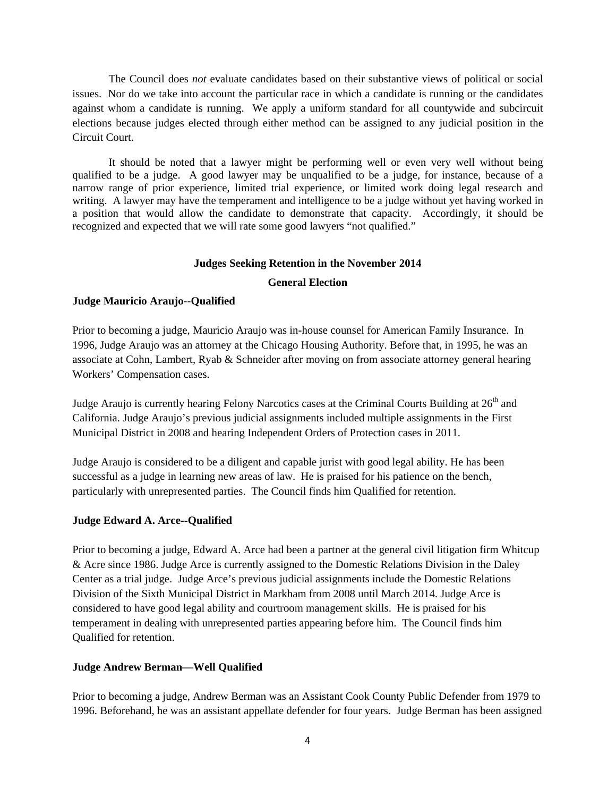The Council does *not* evaluate candidates based on their substantive views of political or social issues. Nor do we take into account the particular race in which a candidate is running or the candidates against whom a candidate is running. We apply a uniform standard for all countywide and subcircuit elections because judges elected through either method can be assigned to any judicial position in the Circuit Court.

 It should be noted that a lawyer might be performing well or even very well without being qualified to be a judge. A good lawyer may be unqualified to be a judge, for instance, because of a narrow range of prior experience, limited trial experience, or limited work doing legal research and writing. A lawyer may have the temperament and intelligence to be a judge without yet having worked in a position that would allow the candidate to demonstrate that capacity. Accordingly, it should be recognized and expected that we will rate some good lawyers "not qualified."

#### **Judges Seeking Retention in the November 2014**

#### **General Election**

### **Judge Mauricio Araujo--Qualified**

Prior to becoming a judge, Mauricio Araujo was in-house counsel for American Family Insurance. In 1996, Judge Araujo was an attorney at the Chicago Housing Authority. Before that, in 1995, he was an associate at Cohn, Lambert, Ryab & Schneider after moving on from associate attorney general hearing Workers' Compensation cases.

Judge Araujo is currently hearing Felony Narcotics cases at the Criminal Courts Building at 26<sup>th</sup> and California. Judge Araujo's previous judicial assignments included multiple assignments in the First Municipal District in 2008 and hearing Independent Orders of Protection cases in 2011.

Judge Araujo is considered to be a diligent and capable jurist with good legal ability. He has been successful as a judge in learning new areas of law. He is praised for his patience on the bench, particularly with unrepresented parties. The Council finds him Qualified for retention.

### **Judge Edward A. Arce--Qualified**

Prior to becoming a judge, Edward A. Arce had been a partner at the general civil litigation firm Whitcup & Acre since 1986. Judge Arce is currently assigned to the Domestic Relations Division in the Daley Center as a trial judge. Judge Arce's previous judicial assignments include the Domestic Relations Division of the Sixth Municipal District in Markham from 2008 until March 2014. Judge Arce is considered to have good legal ability and courtroom management skills. He is praised for his temperament in dealing with unrepresented parties appearing before him. The Council finds him Qualified for retention.

### **Judge Andrew Berman—Well Qualified**

Prior to becoming a judge, Andrew Berman was an Assistant Cook County Public Defender from 1979 to 1996. Beforehand, he was an assistant appellate defender for four years. Judge Berman has been assigned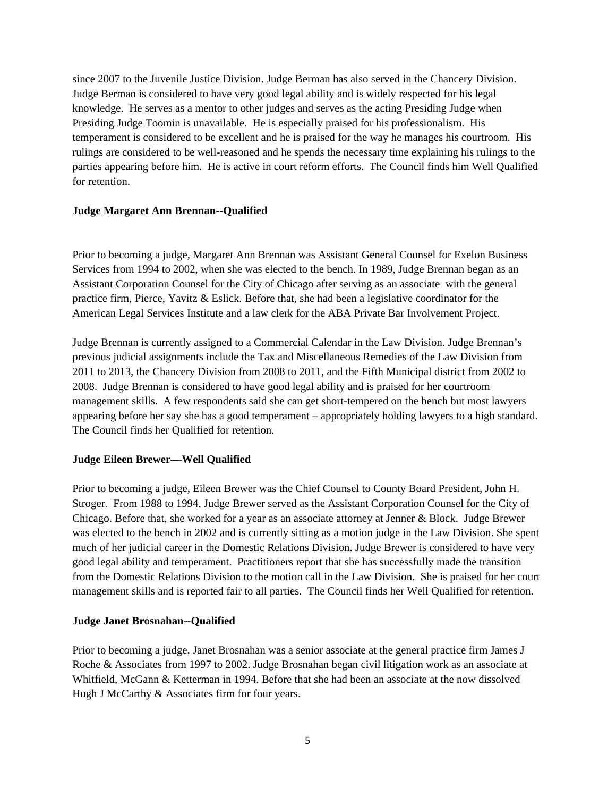since 2007 to the Juvenile Justice Division. Judge Berman has also served in the Chancery Division. Judge Berman is considered to have very good legal ability and is widely respected for his legal knowledge. He serves as a mentor to other judges and serves as the acting Presiding Judge when Presiding Judge Toomin is unavailable. He is especially praised for his professionalism. His temperament is considered to be excellent and he is praised for the way he manages his courtroom. His rulings are considered to be well-reasoned and he spends the necessary time explaining his rulings to the parties appearing before him. He is active in court reform efforts. The Council finds him Well Qualified for retention.

### **Judge Margaret Ann Brennan--Qualified**

Prior to becoming a judge, Margaret Ann Brennan was Assistant General Counsel for Exelon Business Services from 1994 to 2002, when she was elected to the bench. In 1989, Judge Brennan began as an Assistant Corporation Counsel for the City of Chicago after serving as an associate with the general practice firm, Pierce, Yavitz & Eslick. Before that, she had been a legislative coordinator for the American Legal Services Institute and a law clerk for the ABA Private Bar Involvement Project.

Judge Brennan is currently assigned to a Commercial Calendar in the Law Division. Judge Brennan's previous judicial assignments include the Tax and Miscellaneous Remedies of the Law Division from 2011 to 2013, the Chancery Division from 2008 to 2011, and the Fifth Municipal district from 2002 to 2008. Judge Brennan is considered to have good legal ability and is praised for her courtroom management skills. A few respondents said she can get short-tempered on the bench but most lawyers appearing before her say she has a good temperament – appropriately holding lawyers to a high standard. The Council finds her Qualified for retention.

### **Judge Eileen Brewer—Well Qualified**

Prior to becoming a judge, Eileen Brewer was the Chief Counsel to County Board President, John H. Stroger. From 1988 to 1994, Judge Brewer served as the Assistant Corporation Counsel for the City of Chicago. Before that, she worked for a year as an associate attorney at Jenner & Block. Judge Brewer was elected to the bench in 2002 and is currently sitting as a motion judge in the Law Division. She spent much of her judicial career in the Domestic Relations Division. Judge Brewer is considered to have very good legal ability and temperament. Practitioners report that she has successfully made the transition from the Domestic Relations Division to the motion call in the Law Division. She is praised for her court management skills and is reported fair to all parties. The Council finds her Well Qualified for retention.

#### **Judge Janet Brosnahan--Qualified**

Prior to becoming a judge, Janet Brosnahan was a senior associate at the general practice firm James J Roche & Associates from 1997 to 2002. Judge Brosnahan began civil litigation work as an associate at Whitfield, McGann & Ketterman in 1994. Before that she had been an associate at the now dissolved Hugh J McCarthy & Associates firm for four years.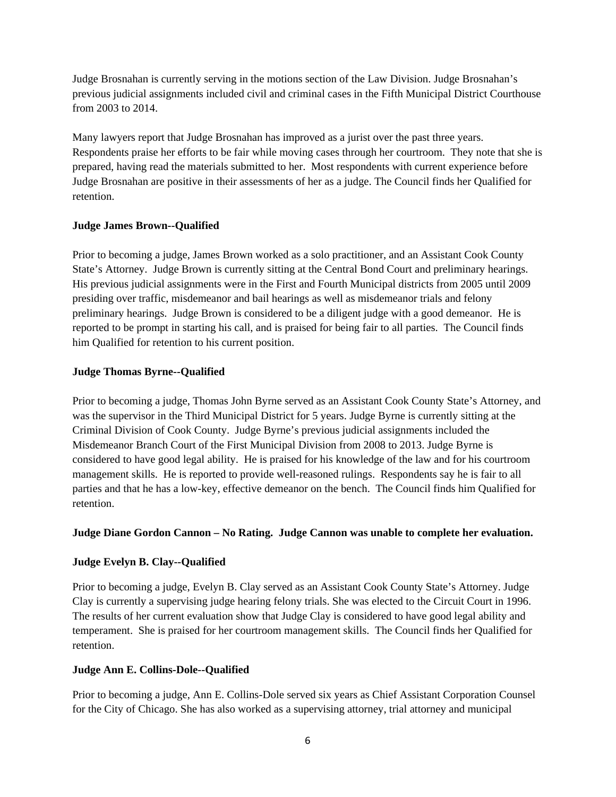Judge Brosnahan is currently serving in the motions section of the Law Division. Judge Brosnahan's previous judicial assignments included civil and criminal cases in the Fifth Municipal District Courthouse from 2003 to 2014.

Many lawyers report that Judge Brosnahan has improved as a jurist over the past three years. Respondents praise her efforts to be fair while moving cases through her courtroom. They note that she is prepared, having read the materials submitted to her. Most respondents with current experience before Judge Brosnahan are positive in their assessments of her as a judge. The Council finds her Qualified for retention.

### **Judge James Brown--Qualified**

Prior to becoming a judge, James Brown worked as a solo practitioner, and an Assistant Cook County State's Attorney. Judge Brown is currently sitting at the Central Bond Court and preliminary hearings. His previous judicial assignments were in the First and Fourth Municipal districts from 2005 until 2009 presiding over traffic, misdemeanor and bail hearings as well as misdemeanor trials and felony preliminary hearings. Judge Brown is considered to be a diligent judge with a good demeanor. He is reported to be prompt in starting his call, and is praised for being fair to all parties. The Council finds him Qualified for retention to his current position.

### **Judge Thomas Byrne--Qualified**

Prior to becoming a judge, Thomas John Byrne served as an Assistant Cook County State's Attorney, and was the supervisor in the Third Municipal District for 5 years. Judge Byrne is currently sitting at the Criminal Division of Cook County. Judge Byrne's previous judicial assignments included the Misdemeanor Branch Court of the First Municipal Division from 2008 to 2013. Judge Byrne is considered to have good legal ability. He is praised for his knowledge of the law and for his courtroom management skills. He is reported to provide well-reasoned rulings. Respondents say he is fair to all parties and that he has a low-key, effective demeanor on the bench. The Council finds him Qualified for retention.

### **Judge Diane Gordon Cannon – No Rating. Judge Cannon was unable to complete her evaluation.**

### **Judge Evelyn B. Clay--Qualified**

Prior to becoming a judge, Evelyn B. Clay served as an Assistant Cook County State's Attorney. Judge Clay is currently a supervising judge hearing felony trials. She was elected to the Circuit Court in 1996. The results of her current evaluation show that Judge Clay is considered to have good legal ability and temperament. She is praised for her courtroom management skills. The Council finds her Qualified for retention.

### **Judge Ann E. Collins-Dole--Qualified**

Prior to becoming a judge, Ann E. Collins-Dole served six years as Chief Assistant Corporation Counsel for the City of Chicago. She has also worked as a supervising attorney, trial attorney and municipal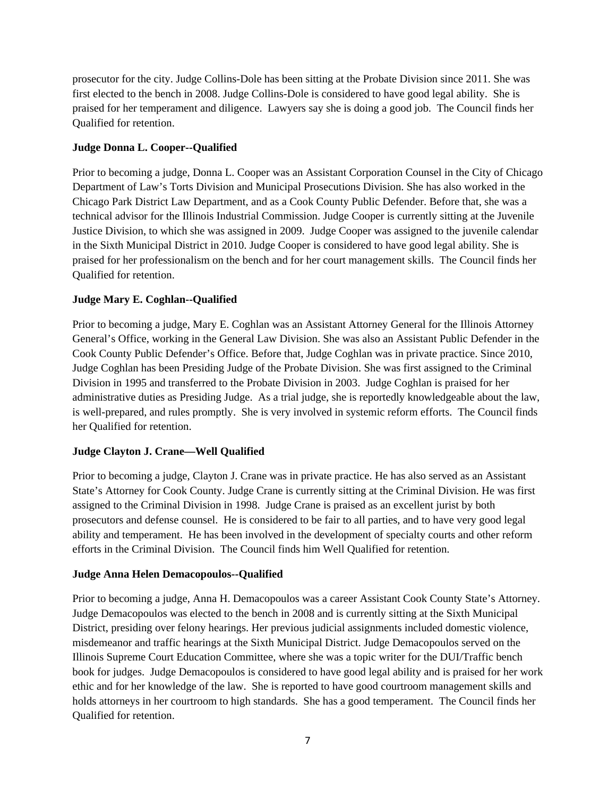prosecutor for the city. Judge Collins-Dole has been sitting at the Probate Division since 2011. She was first elected to the bench in 2008. Judge Collins-Dole is considered to have good legal ability. She is praised for her temperament and diligence. Lawyers say she is doing a good job. The Council finds her Qualified for retention.

### **Judge Donna L. Cooper--Qualified**

Prior to becoming a judge, Donna L. Cooper was an Assistant Corporation Counsel in the City of Chicago Department of Law's Torts Division and Municipal Prosecutions Division. She has also worked in the Chicago Park District Law Department, and as a Cook County Public Defender. Before that, she was a technical advisor for the Illinois Industrial Commission. Judge Cooper is currently sitting at the Juvenile Justice Division, to which she was assigned in 2009. Judge Cooper was assigned to the juvenile calendar in the Sixth Municipal District in 2010. Judge Cooper is considered to have good legal ability. She is praised for her professionalism on the bench and for her court management skills. The Council finds her Qualified for retention.

### **Judge Mary E. Coghlan--Qualified**

Prior to becoming a judge, Mary E. Coghlan was an Assistant Attorney General for the Illinois Attorney General's Office, working in the General Law Division. She was also an Assistant Public Defender in the Cook County Public Defender's Office. Before that, Judge Coghlan was in private practice. Since 2010, Judge Coghlan has been Presiding Judge of the Probate Division. She was first assigned to the Criminal Division in 1995 and transferred to the Probate Division in 2003. Judge Coghlan is praised for her administrative duties as Presiding Judge. As a trial judge, she is reportedly knowledgeable about the law, is well-prepared, and rules promptly. She is very involved in systemic reform efforts. The Council finds her Qualified for retention.

### **Judge Clayton J. Crane—Well Qualified**

Prior to becoming a judge, Clayton J. Crane was in private practice. He has also served as an Assistant State's Attorney for Cook County. Judge Crane is currently sitting at the Criminal Division. He was first assigned to the Criminal Division in 1998. Judge Crane is praised as an excellent jurist by both prosecutors and defense counsel. He is considered to be fair to all parties, and to have very good legal ability and temperament. He has been involved in the development of specialty courts and other reform efforts in the Criminal Division. The Council finds him Well Qualified for retention.

### **Judge Anna Helen Demacopoulos--Qualified**

Prior to becoming a judge, Anna H. Demacopoulos was a career Assistant Cook County State's Attorney. Judge Demacopoulos was elected to the bench in 2008 and is currently sitting at the Sixth Municipal District, presiding over felony hearings. Her previous judicial assignments included domestic violence, misdemeanor and traffic hearings at the Sixth Municipal District. Judge Demacopoulos served on the Illinois Supreme Court Education Committee, where she was a topic writer for the DUI/Traffic bench book for judges. Judge Demacopoulos is considered to have good legal ability and is praised for her work ethic and for her knowledge of the law. She is reported to have good courtroom management skills and holds attorneys in her courtroom to high standards. She has a good temperament. The Council finds her Qualified for retention.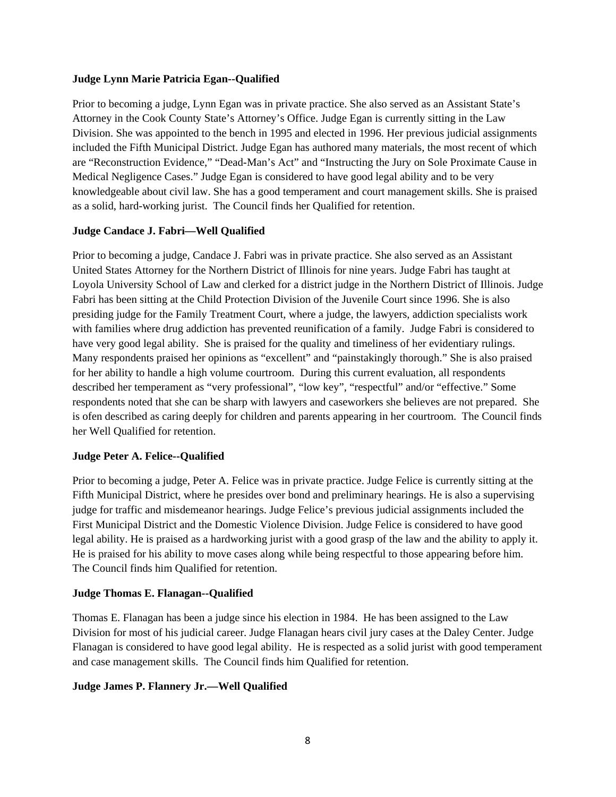#### **Judge Lynn Marie Patricia Egan--Qualified**

Prior to becoming a judge, Lynn Egan was in private practice. She also served as an Assistant State's Attorney in the Cook County State's Attorney's Office. Judge Egan is currently sitting in the Law Division. She was appointed to the bench in 1995 and elected in 1996. Her previous judicial assignments included the Fifth Municipal District. Judge Egan has authored many materials, the most recent of which are "Reconstruction Evidence," "Dead-Man's Act" and "Instructing the Jury on Sole Proximate Cause in Medical Negligence Cases." Judge Egan is considered to have good legal ability and to be very knowledgeable about civil law. She has a good temperament and court management skills. She is praised as a solid, hard-working jurist. The Council finds her Qualified for retention.

### **Judge Candace J. Fabri—Well Qualified**

Prior to becoming a judge, Candace J. Fabri was in private practice. She also served as an Assistant United States Attorney for the Northern District of Illinois for nine years. Judge Fabri has taught at Loyola University School of Law and clerked for a district judge in the Northern District of Illinois. Judge Fabri has been sitting at the Child Protection Division of the Juvenile Court since 1996. She is also presiding judge for the Family Treatment Court, where a judge, the lawyers, addiction specialists work with families where drug addiction has prevented reunification of a family. Judge Fabri is considered to have very good legal ability. She is praised for the quality and timeliness of her evidentiary rulings. Many respondents praised her opinions as "excellent" and "painstakingly thorough." She is also praised for her ability to handle a high volume courtroom. During this current evaluation, all respondents described her temperament as "very professional", "low key", "respectful" and/or "effective." Some respondents noted that she can be sharp with lawyers and caseworkers she believes are not prepared. She is ofen described as caring deeply for children and parents appearing in her courtroom. The Council finds her Well Qualified for retention.

### **Judge Peter A. Felice--Qualified**

Prior to becoming a judge, Peter A. Felice was in private practice. Judge Felice is currently sitting at the Fifth Municipal District, where he presides over bond and preliminary hearings. He is also a supervising judge for traffic and misdemeanor hearings. Judge Felice's previous judicial assignments included the First Municipal District and the Domestic Violence Division. Judge Felice is considered to have good legal ability. He is praised as a hardworking jurist with a good grasp of the law and the ability to apply it. He is praised for his ability to move cases along while being respectful to those appearing before him. The Council finds him Qualified for retention.

### **Judge Thomas E. Flanagan--Qualified**

Thomas E. Flanagan has been a judge since his election in 1984. He has been assigned to the Law Division for most of his judicial career. Judge Flanagan hears civil jury cases at the Daley Center. Judge Flanagan is considered to have good legal ability. He is respected as a solid jurist with good temperament and case management skills. The Council finds him Qualified for retention.

### **Judge James P. Flannery Jr.—Well Qualified**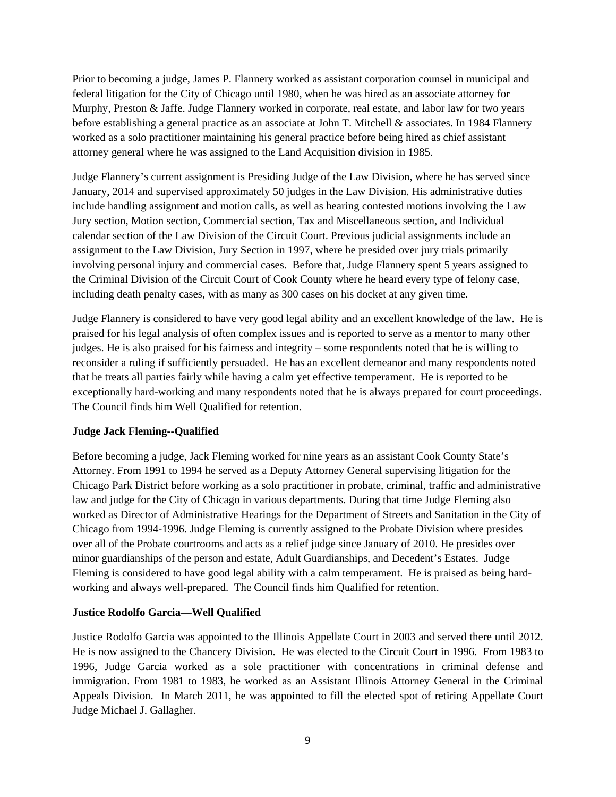Prior to becoming a judge, James P. Flannery worked as assistant corporation counsel in municipal and federal litigation for the City of Chicago until 1980, when he was hired as an associate attorney for Murphy, Preston & Jaffe. Judge Flannery worked in corporate, real estate, and labor law for two years before establishing a general practice as an associate at John T. Mitchell & associates. In 1984 Flannery worked as a solo practitioner maintaining his general practice before being hired as chief assistant attorney general where he was assigned to the Land Acquisition division in 1985.

Judge Flannery's current assignment is Presiding Judge of the Law Division, where he has served since January, 2014 and supervised approximately 50 judges in the Law Division. His administrative duties include handling assignment and motion calls, as well as hearing contested motions involving the Law Jury section, Motion section, Commercial section, Tax and Miscellaneous section, and Individual calendar section of the Law Division of the Circuit Court. Previous judicial assignments include an assignment to the Law Division, Jury Section in 1997, where he presided over jury trials primarily involving personal injury and commercial cases. Before that, Judge Flannery spent 5 years assigned to the Criminal Division of the Circuit Court of Cook County where he heard every type of felony case, including death penalty cases, with as many as 300 cases on his docket at any given time.

Judge Flannery is considered to have very good legal ability and an excellent knowledge of the law. He is praised for his legal analysis of often complex issues and is reported to serve as a mentor to many other judges. He is also praised for his fairness and integrity – some respondents noted that he is willing to reconsider a ruling if sufficiently persuaded. He has an excellent demeanor and many respondents noted that he treats all parties fairly while having a calm yet effective temperament. He is reported to be exceptionally hard-working and many respondents noted that he is always prepared for court proceedings. The Council finds him Well Qualified for retention.

### **Judge Jack Fleming--Qualified**

Before becoming a judge, Jack Fleming worked for nine years as an assistant Cook County State's Attorney. From 1991 to 1994 he served as a Deputy Attorney General supervising litigation for the Chicago Park District before working as a solo practitioner in probate, criminal, traffic and administrative law and judge for the City of Chicago in various departments. During that time Judge Fleming also worked as Director of Administrative Hearings for the Department of Streets and Sanitation in the City of Chicago from 1994-1996. Judge Fleming is currently assigned to the Probate Division where presides over all of the Probate courtrooms and acts as a relief judge since January of 2010. He presides over minor guardianships of the person and estate, Adult Guardianships, and Decedent's Estates. Judge Fleming is considered to have good legal ability with a calm temperament. He is praised as being hardworking and always well-prepared. The Council finds him Qualified for retention.

### **Justice Rodolfo Garcia—Well Qualified**

Justice Rodolfo Garcia was appointed to the Illinois Appellate Court in 2003 and served there until 2012. He is now assigned to the Chancery Division. He was elected to the Circuit Court in 1996. From 1983 to 1996, Judge Garcia worked as a sole practitioner with concentrations in criminal defense and immigration. From 1981 to 1983, he worked as an Assistant Illinois Attorney General in the Criminal Appeals Division. In March 2011, he was appointed to fill the elected spot of retiring Appellate Court Judge Michael J. Gallagher.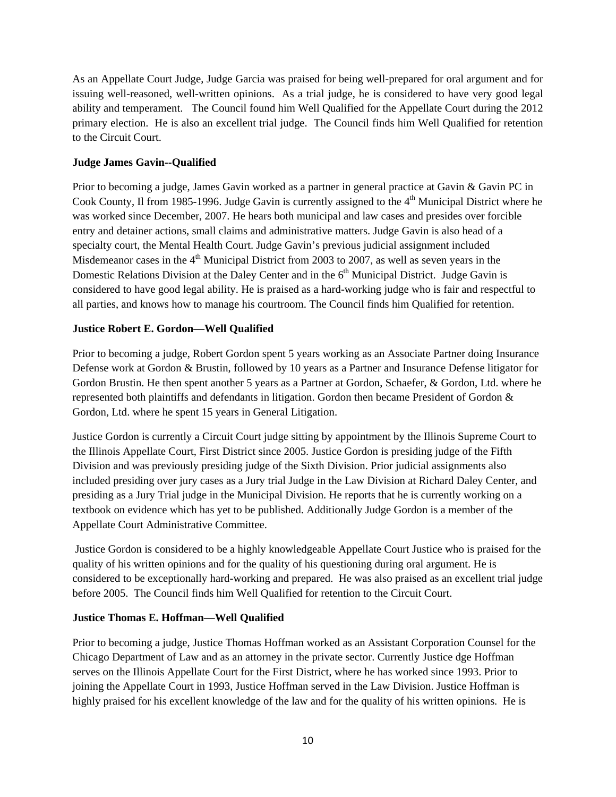As an Appellate Court Judge, Judge Garcia was praised for being well-prepared for oral argument and for issuing well-reasoned, well-written opinions. As a trial judge, he is considered to have very good legal ability and temperament. The Council found him Well Qualified for the Appellate Court during the 2012 primary election. He is also an excellent trial judge. The Council finds him Well Qualified for retention to the Circuit Court.

### **Judge James Gavin--Qualified**

Prior to becoming a judge, James Gavin worked as a partner in general practice at Gavin & Gavin PC in Cook County, Il from 1985-1996. Judge Gavin is currently assigned to the 4<sup>th</sup> Municipal District where he was worked since December, 2007. He hears both municipal and law cases and presides over forcible entry and detainer actions, small claims and administrative matters. Judge Gavin is also head of a specialty court, the Mental Health Court. Judge Gavin's previous judicial assignment included Misdemeanor cases in the  $4<sup>th</sup>$  Municipal District from 2003 to 2007, as well as seven years in the Domestic Relations Division at the Daley Center and in the 6<sup>th</sup> Municipal District. Judge Gavin is considered to have good legal ability. He is praised as a hard-working judge who is fair and respectful to all parties, and knows how to manage his courtroom. The Council finds him Qualified for retention.

### **Justice Robert E. Gordon—Well Qualified**

Prior to becoming a judge, Robert Gordon spent 5 years working as an Associate Partner doing Insurance Defense work at Gordon & Brustin, followed by 10 years as a Partner and Insurance Defense litigator for Gordon Brustin. He then spent another 5 years as a Partner at Gordon, Schaefer, & Gordon, Ltd. where he represented both plaintiffs and defendants in litigation. Gordon then became President of Gordon & Gordon, Ltd. where he spent 15 years in General Litigation.

Justice Gordon is currently a Circuit Court judge sitting by appointment by the Illinois Supreme Court to the Illinois Appellate Court, First District since 2005. Justice Gordon is presiding judge of the Fifth Division and was previously presiding judge of the Sixth Division. Prior judicial assignments also included presiding over jury cases as a Jury trial Judge in the Law Division at Richard Daley Center, and presiding as a Jury Trial judge in the Municipal Division. He reports that he is currently working on a textbook on evidence which has yet to be published. Additionally Judge Gordon is a member of the Appellate Court Administrative Committee.

 Justice Gordon is considered to be a highly knowledgeable Appellate Court Justice who is praised for the quality of his written opinions and for the quality of his questioning during oral argument. He is considered to be exceptionally hard-working and prepared. He was also praised as an excellent trial judge before 2005. The Council finds him Well Qualified for retention to the Circuit Court.

### **Justice Thomas E. Hoffman—Well Qualified**

Prior to becoming a judge, Justice Thomas Hoffman worked as an Assistant Corporation Counsel for the Chicago Department of Law and as an attorney in the private sector. Currently Justice dge Hoffman serves on the Illinois Appellate Court for the First District, where he has worked since 1993. Prior to joining the Appellate Court in 1993, Justice Hoffman served in the Law Division. Justice Hoffman is highly praised for his excellent knowledge of the law and for the quality of his written opinions. He is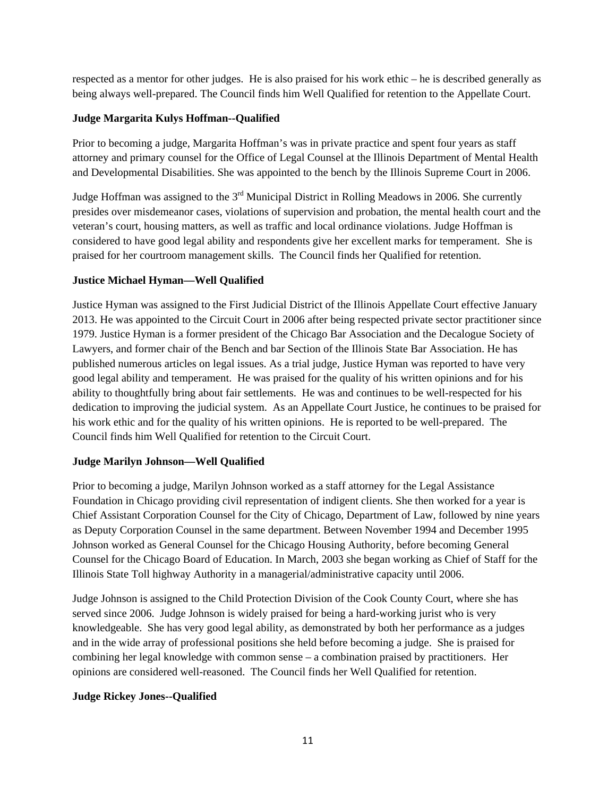respected as a mentor for other judges. He is also praised for his work ethic – he is described generally as being always well-prepared. The Council finds him Well Qualified for retention to the Appellate Court.

### **Judge Margarita Kulys Hoffman--Qualified**

Prior to becoming a judge, Margarita Hoffman's was in private practice and spent four years as staff attorney and primary counsel for the Office of Legal Counsel at the Illinois Department of Mental Health and Developmental Disabilities. She was appointed to the bench by the Illinois Supreme Court in 2006.

Judge Hoffman was assigned to the  $3<sup>rd</sup>$  Municipal District in Rolling Meadows in 2006. She currently presides over misdemeanor cases, violations of supervision and probation, the mental health court and the veteran's court, housing matters, as well as traffic and local ordinance violations. Judge Hoffman is considered to have good legal ability and respondents give her excellent marks for temperament. She is praised for her courtroom management skills. The Council finds her Qualified for retention.

### **Justice Michael Hyman—Well Qualified**

Justice Hyman was assigned to the First Judicial District of the Illinois Appellate Court effective January 2013. He was appointed to the Circuit Court in 2006 after being respected private sector practitioner since 1979. Justice Hyman is a former president of the Chicago Bar Association and the Decalogue Society of Lawyers, and former chair of the Bench and bar Section of the Illinois State Bar Association. He has published numerous articles on legal issues. As a trial judge, Justice Hyman was reported to have very good legal ability and temperament. He was praised for the quality of his written opinions and for his ability to thoughtfully bring about fair settlements. He was and continues to be well-respected for his dedication to improving the judicial system. As an Appellate Court Justice, he continues to be praised for his work ethic and for the quality of his written opinions. He is reported to be well-prepared. The Council finds him Well Qualified for retention to the Circuit Court.

### **Judge Marilyn Johnson—Well Qualified**

Prior to becoming a judge, Marilyn Johnson worked as a staff attorney for the Legal Assistance Foundation in Chicago providing civil representation of indigent clients. She then worked for a year is Chief Assistant Corporation Counsel for the City of Chicago, Department of Law, followed by nine years as Deputy Corporation Counsel in the same department. Between November 1994 and December 1995 Johnson worked as General Counsel for the Chicago Housing Authority, before becoming General Counsel for the Chicago Board of Education. In March, 2003 she began working as Chief of Staff for the Illinois State Toll highway Authority in a managerial/administrative capacity until 2006.

Judge Johnson is assigned to the Child Protection Division of the Cook County Court, where she has served since 2006. Judge Johnson is widely praised for being a hard-working jurist who is very knowledgeable. She has very good legal ability, as demonstrated by both her performance as a judges and in the wide array of professional positions she held before becoming a judge. She is praised for combining her legal knowledge with common sense – a combination praised by practitioners. Her opinions are considered well-reasoned. The Council finds her Well Qualified for retention.

### **Judge Rickey Jones--Qualified**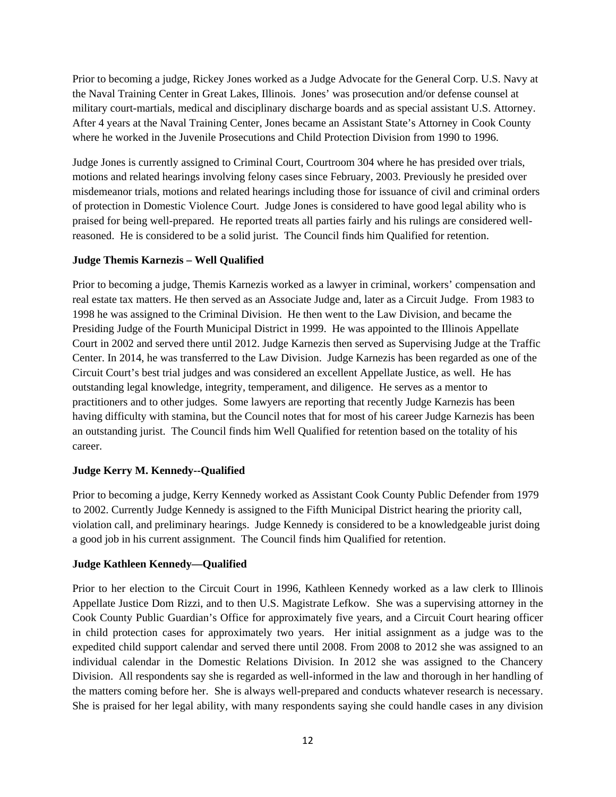Prior to becoming a judge, Rickey Jones worked as a Judge Advocate for the General Corp. U.S. Navy at the Naval Training Center in Great Lakes, Illinois. Jones' was prosecution and/or defense counsel at military court-martials, medical and disciplinary discharge boards and as special assistant U.S. Attorney. After 4 years at the Naval Training Center, Jones became an Assistant State's Attorney in Cook County where he worked in the Juvenile Prosecutions and Child Protection Division from 1990 to 1996.

Judge Jones is currently assigned to Criminal Court, Courtroom 304 where he has presided over trials, motions and related hearings involving felony cases since February, 2003. Previously he presided over misdemeanor trials, motions and related hearings including those for issuance of civil and criminal orders of protection in Domestic Violence Court. Judge Jones is considered to have good legal ability who is praised for being well-prepared. He reported treats all parties fairly and his rulings are considered wellreasoned. He is considered to be a solid jurist. The Council finds him Qualified for retention.

### **Judge Themis Karnezis – Well Qualified**

Prior to becoming a judge, Themis Karnezis worked as a lawyer in criminal, workers' compensation and real estate tax matters. He then served as an Associate Judge and, later as a Circuit Judge. From 1983 to 1998 he was assigned to the Criminal Division. He then went to the Law Division, and became the Presiding Judge of the Fourth Municipal District in 1999. He was appointed to the Illinois Appellate Court in 2002 and served there until 2012. Judge Karnezis then served as Supervising Judge at the Traffic Center. In 2014, he was transferred to the Law Division. Judge Karnezis has been regarded as one of the Circuit Court's best trial judges and was considered an excellent Appellate Justice, as well. He has outstanding legal knowledge, integrity, temperament, and diligence. He serves as a mentor to practitioners and to other judges. Some lawyers are reporting that recently Judge Karnezis has been having difficulty with stamina, but the Council notes that for most of his career Judge Karnezis has been an outstanding jurist. The Council finds him Well Qualified for retention based on the totality of his career.

### **Judge Kerry M. Kennedy--Qualified**

Prior to becoming a judge, Kerry Kennedy worked as Assistant Cook County Public Defender from 1979 to 2002. Currently Judge Kennedy is assigned to the Fifth Municipal District hearing the priority call, violation call, and preliminary hearings. Judge Kennedy is considered to be a knowledgeable jurist doing a good job in his current assignment. The Council finds him Qualified for retention.

### **Judge Kathleen Kennedy—Qualified**

Prior to her election to the Circuit Court in 1996, Kathleen Kennedy worked as a law clerk to Illinois Appellate Justice Dom Rizzi, and to then U.S. Magistrate Lefkow. She was a supervising attorney in the Cook County Public Guardian's Office for approximately five years, and a Circuit Court hearing officer in child protection cases for approximately two years. Her initial assignment as a judge was to the expedited child support calendar and served there until 2008. From 2008 to 2012 she was assigned to an individual calendar in the Domestic Relations Division. In 2012 she was assigned to the Chancery Division. All respondents say she is regarded as well-informed in the law and thorough in her handling of the matters coming before her. She is always well-prepared and conducts whatever research is necessary. She is praised for her legal ability, with many respondents saying she could handle cases in any division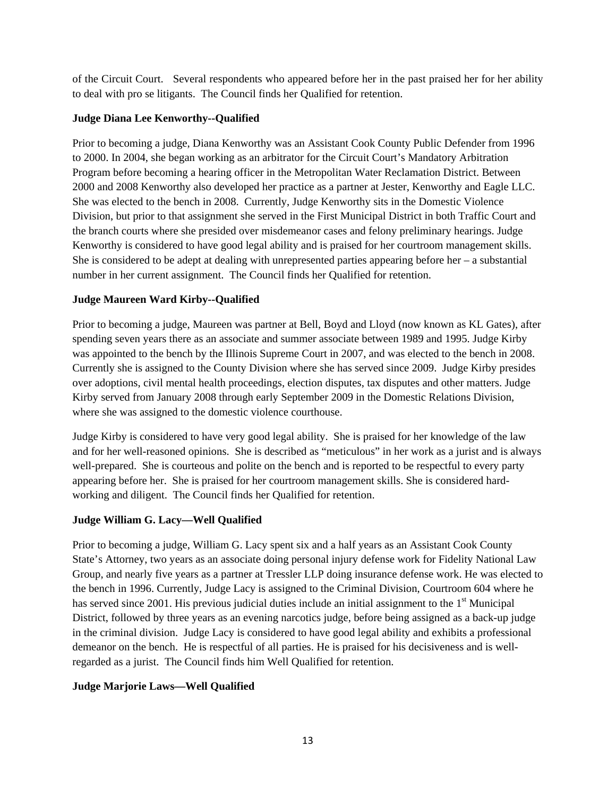of the Circuit Court. Several respondents who appeared before her in the past praised her for her ability to deal with pro se litigants. The Council finds her Qualified for retention.

### **Judge Diana Lee Kenworthy--Qualified**

Prior to becoming a judge, Diana Kenworthy was an Assistant Cook County Public Defender from 1996 to 2000. In 2004, she began working as an arbitrator for the Circuit Court's Mandatory Arbitration Program before becoming a hearing officer in the Metropolitan Water Reclamation District. Between 2000 and 2008 Kenworthy also developed her practice as a partner at Jester, Kenworthy and Eagle LLC. She was elected to the bench in 2008. Currently, Judge Kenworthy sits in the Domestic Violence Division, but prior to that assignment she served in the First Municipal District in both Traffic Court and the branch courts where she presided over misdemeanor cases and felony preliminary hearings. Judge Kenworthy is considered to have good legal ability and is praised for her courtroom management skills. She is considered to be adept at dealing with unrepresented parties appearing before her – a substantial number in her current assignment. The Council finds her Qualified for retention.

### **Judge Maureen Ward Kirby--Qualified**

Prior to becoming a judge, Maureen was partner at Bell, Boyd and Lloyd (now known as KL Gates), after spending seven years there as an associate and summer associate between 1989 and 1995. Judge Kirby was appointed to the bench by the Illinois Supreme Court in 2007, and was elected to the bench in 2008. Currently she is assigned to the County Division where she has served since 2009. Judge Kirby presides over adoptions, civil mental health proceedings, election disputes, tax disputes and other matters. Judge Kirby served from January 2008 through early September 2009 in the Domestic Relations Division, where she was assigned to the domestic violence courthouse.

Judge Kirby is considered to have very good legal ability. She is praised for her knowledge of the law and for her well-reasoned opinions. She is described as "meticulous" in her work as a jurist and is always well-prepared. She is courteous and polite on the bench and is reported to be respectful to every party appearing before her. She is praised for her courtroom management skills. She is considered hardworking and diligent. The Council finds her Qualified for retention.

## **Judge William G. Lacy—Well Qualified**

Prior to becoming a judge, William G. Lacy spent six and a half years as an Assistant Cook County State's Attorney, two years as an associate doing personal injury defense work for Fidelity National Law Group, and nearly five years as a partner at Tressler LLP doing insurance defense work. He was elected to the bench in 1996. Currently, Judge Lacy is assigned to the Criminal Division, Courtroom 604 where he has served since 2001. His previous judicial duties include an initial assignment to the 1<sup>st</sup> Municipal District, followed by three years as an evening narcotics judge, before being assigned as a back-up judge in the criminal division. Judge Lacy is considered to have good legal ability and exhibits a professional demeanor on the bench. He is respectful of all parties. He is praised for his decisiveness and is wellregarded as a jurist. The Council finds him Well Qualified for retention.

### **Judge Marjorie Laws—Well Qualified**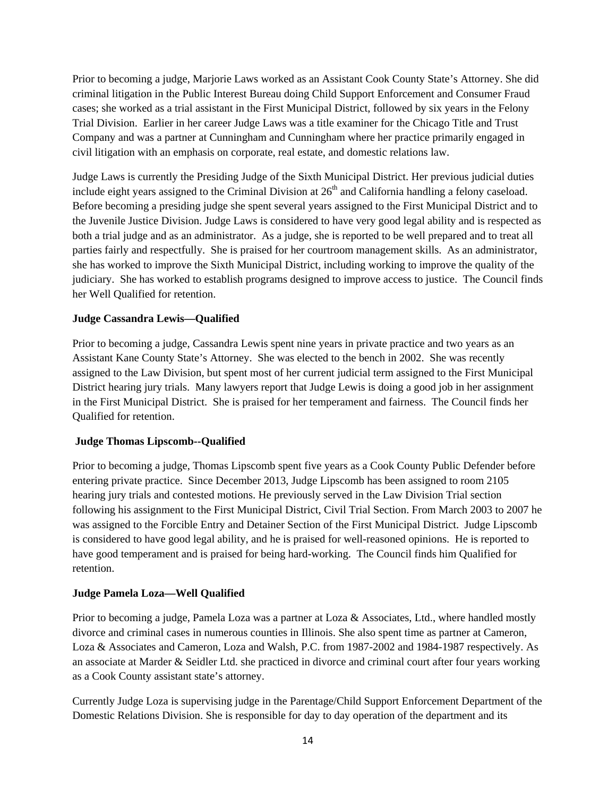Prior to becoming a judge, Marjorie Laws worked as an Assistant Cook County State's Attorney. She did criminal litigation in the Public Interest Bureau doing Child Support Enforcement and Consumer Fraud cases; she worked as a trial assistant in the First Municipal District, followed by six years in the Felony Trial Division. Earlier in her career Judge Laws was a title examiner for the Chicago Title and Trust Company and was a partner at Cunningham and Cunningham where her practice primarily engaged in civil litigation with an emphasis on corporate, real estate, and domestic relations law.

Judge Laws is currently the Presiding Judge of the Sixth Municipal District. Her previous judicial duties include eight years assigned to the Criminal Division at  $26<sup>th</sup>$  and California handling a felony caseload. Before becoming a presiding judge she spent several years assigned to the First Municipal District and to the Juvenile Justice Division. Judge Laws is considered to have very good legal ability and is respected as both a trial judge and as an administrator. As a judge, she is reported to be well prepared and to treat all parties fairly and respectfully. She is praised for her courtroom management skills. As an administrator, she has worked to improve the Sixth Municipal District, including working to improve the quality of the judiciary. She has worked to establish programs designed to improve access to justice. The Council finds her Well Qualified for retention.

### **Judge Cassandra Lewis—Qualified**

Prior to becoming a judge, Cassandra Lewis spent nine years in private practice and two years as an Assistant Kane County State's Attorney. She was elected to the bench in 2002. She was recently assigned to the Law Division, but spent most of her current judicial term assigned to the First Municipal District hearing jury trials. Many lawyers report that Judge Lewis is doing a good job in her assignment in the First Municipal District. She is praised for her temperament and fairness. The Council finds her Qualified for retention.

### **Judge Thomas Lipscomb--Qualified**

Prior to becoming a judge, Thomas Lipscomb spent five years as a Cook County Public Defender before entering private practice. Since December 2013, Judge Lipscomb has been assigned to room 2105 hearing jury trials and contested motions. He previously served in the Law Division Trial section following his assignment to the First Municipal District, Civil Trial Section. From March 2003 to 2007 he was assigned to the Forcible Entry and Detainer Section of the First Municipal District. Judge Lipscomb is considered to have good legal ability, and he is praised for well-reasoned opinions. He is reported to have good temperament and is praised for being hard-working. The Council finds him Qualified for retention.

### **Judge Pamela Loza—Well Qualified**

Prior to becoming a judge, Pamela Loza was a partner at Loza & Associates, Ltd., where handled mostly divorce and criminal cases in numerous counties in Illinois. She also spent time as partner at Cameron, Loza & Associates and Cameron, Loza and Walsh, P.C. from 1987-2002 and 1984-1987 respectively. As an associate at Marder & Seidler Ltd. she practiced in divorce and criminal court after four years working as a Cook County assistant state's attorney.

Currently Judge Loza is supervising judge in the Parentage/Child Support Enforcement Department of the Domestic Relations Division. She is responsible for day to day operation of the department and its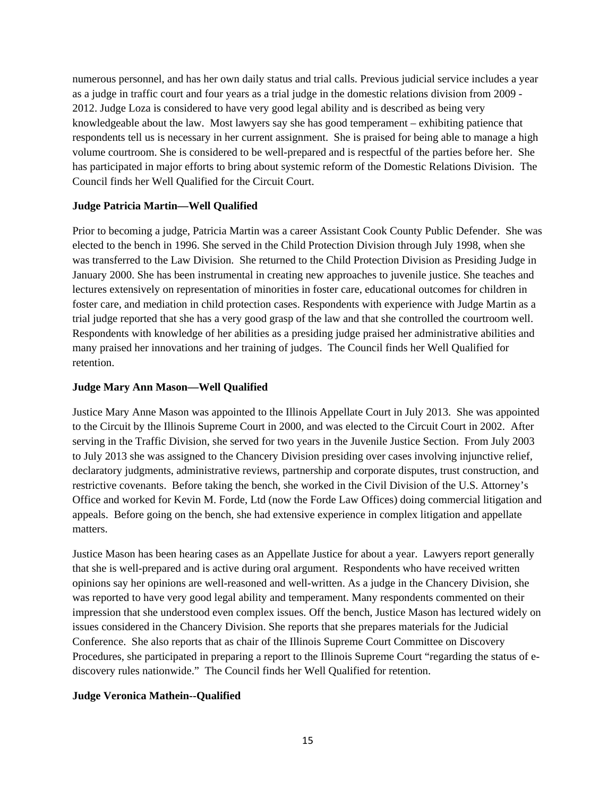numerous personnel, and has her own daily status and trial calls. Previous judicial service includes a year as a judge in traffic court and four years as a trial judge in the domestic relations division from 2009 - 2012. Judge Loza is considered to have very good legal ability and is described as being very knowledgeable about the law. Most lawyers say she has good temperament – exhibiting patience that respondents tell us is necessary in her current assignment. She is praised for being able to manage a high volume courtroom. She is considered to be well-prepared and is respectful of the parties before her. She has participated in major efforts to bring about systemic reform of the Domestic Relations Division. The Council finds her Well Qualified for the Circuit Court.

#### **Judge Patricia Martin—Well Qualified**

Prior to becoming a judge, Patricia Martin was a career Assistant Cook County Public Defender. She was elected to the bench in 1996. She served in the Child Protection Division through July 1998, when she was transferred to the Law Division. She returned to the Child Protection Division as Presiding Judge in January 2000. She has been instrumental in creating new approaches to juvenile justice. She teaches and lectures extensively on representation of minorities in foster care, educational outcomes for children in foster care, and mediation in child protection cases. Respondents with experience with Judge Martin as a trial judge reported that she has a very good grasp of the law and that she controlled the courtroom well. Respondents with knowledge of her abilities as a presiding judge praised her administrative abilities and many praised her innovations and her training of judges. The Council finds her Well Qualified for retention.

### **Judge Mary Ann Mason—Well Qualified**

Justice Mary Anne Mason was appointed to the Illinois Appellate Court in July 2013. She was appointed to the Circuit by the Illinois Supreme Court in 2000, and was elected to the Circuit Court in 2002. After serving in the Traffic Division, she served for two years in the Juvenile Justice Section. From July 2003 to July 2013 she was assigned to the Chancery Division presiding over cases involving injunctive relief, declaratory judgments, administrative reviews, partnership and corporate disputes, trust construction, and restrictive covenants. Before taking the bench, she worked in the Civil Division of the U.S. Attorney's Office and worked for Kevin M. Forde, Ltd (now the Forde Law Offices) doing commercial litigation and appeals. Before going on the bench, she had extensive experience in complex litigation and appellate matters.

Justice Mason has been hearing cases as an Appellate Justice for about a year. Lawyers report generally that she is well-prepared and is active during oral argument. Respondents who have received written opinions say her opinions are well-reasoned and well-written. As a judge in the Chancery Division, she was reported to have very good legal ability and temperament. Many respondents commented on their impression that she understood even complex issues. Off the bench, Justice Mason has lectured widely on issues considered in the Chancery Division. She reports that she prepares materials for the Judicial Conference. She also reports that as chair of the Illinois Supreme Court Committee on Discovery Procedures, she participated in preparing a report to the Illinois Supreme Court "regarding the status of ediscovery rules nationwide." The Council finds her Well Qualified for retention.

#### **Judge Veronica Mathein--Qualified**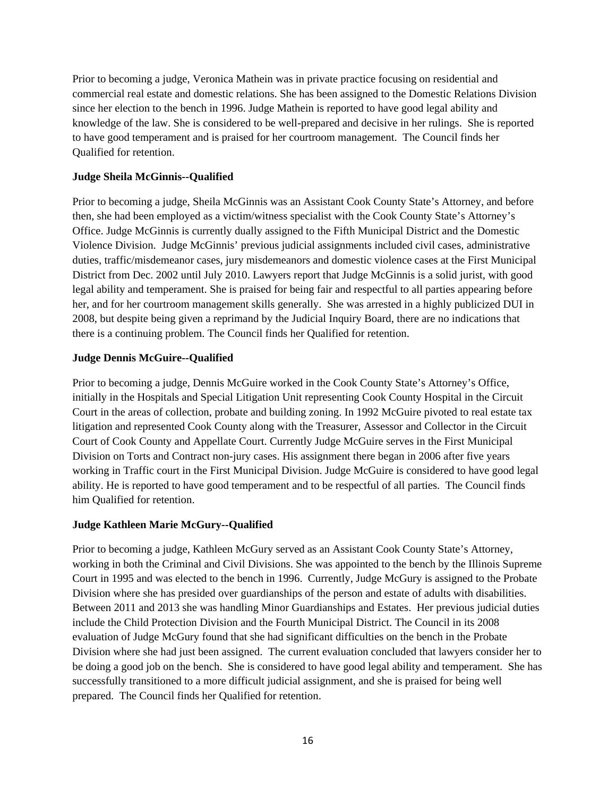Prior to becoming a judge, Veronica Mathein was in private practice focusing on residential and commercial real estate and domestic relations. She has been assigned to the Domestic Relations Division since her election to the bench in 1996. Judge Mathein is reported to have good legal ability and knowledge of the law. She is considered to be well-prepared and decisive in her rulings. She is reported to have good temperament and is praised for her courtroom management. The Council finds her Qualified for retention.

### **Judge Sheila McGinnis--Qualified**

Prior to becoming a judge, Sheila McGinnis was an Assistant Cook County State's Attorney, and before then, she had been employed as a victim/witness specialist with the Cook County State's Attorney's Office. Judge McGinnis is currently dually assigned to the Fifth Municipal District and the Domestic Violence Division. Judge McGinnis' previous judicial assignments included civil cases, administrative duties, traffic/misdemeanor cases, jury misdemeanors and domestic violence cases at the First Municipal District from Dec. 2002 until July 2010. Lawyers report that Judge McGinnis is a solid jurist, with good legal ability and temperament. She is praised for being fair and respectful to all parties appearing before her, and for her courtroom management skills generally. She was arrested in a highly publicized DUI in 2008, but despite being given a reprimand by the Judicial Inquiry Board, there are no indications that there is a continuing problem. The Council finds her Qualified for retention.

### **Judge Dennis McGuire--Qualified**

Prior to becoming a judge, Dennis McGuire worked in the Cook County State's Attorney's Office, initially in the Hospitals and Special Litigation Unit representing Cook County Hospital in the Circuit Court in the areas of collection, probate and building zoning. In 1992 McGuire pivoted to real estate tax litigation and represented Cook County along with the Treasurer, Assessor and Collector in the Circuit Court of Cook County and Appellate Court. Currently Judge McGuire serves in the First Municipal Division on Torts and Contract non-jury cases. His assignment there began in 2006 after five years working in Traffic court in the First Municipal Division. Judge McGuire is considered to have good legal ability. He is reported to have good temperament and to be respectful of all parties. The Council finds him Qualified for retention.

### **Judge Kathleen Marie McGury--Qualified**

Prior to becoming a judge, Kathleen McGury served as an Assistant Cook County State's Attorney, working in both the Criminal and Civil Divisions. She was appointed to the bench by the Illinois Supreme Court in 1995 and was elected to the bench in 1996. Currently, Judge McGury is assigned to the Probate Division where she has presided over guardianships of the person and estate of adults with disabilities. Between 2011 and 2013 she was handling Minor Guardianships and Estates. Her previous judicial duties include the Child Protection Division and the Fourth Municipal District. The Council in its 2008 evaluation of Judge McGury found that she had significant difficulties on the bench in the Probate Division where she had just been assigned. The current evaluation concluded that lawyers consider her to be doing a good job on the bench. She is considered to have good legal ability and temperament. She has successfully transitioned to a more difficult judicial assignment, and she is praised for being well prepared. The Council finds her Qualified for retention.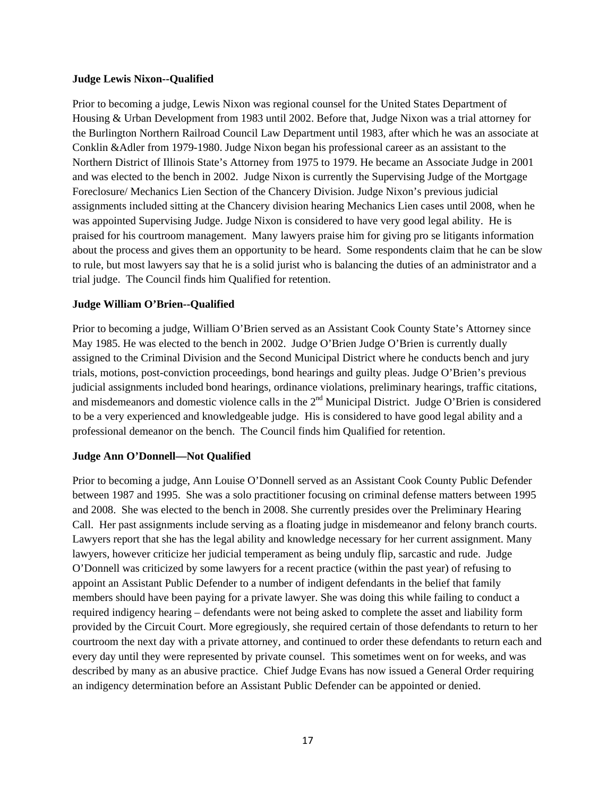#### **Judge Lewis Nixon--Qualified**

Prior to becoming a judge, Lewis Nixon was regional counsel for the United States Department of Housing & Urban Development from 1983 until 2002. Before that, Judge Nixon was a trial attorney for the Burlington Northern Railroad Council Law Department until 1983, after which he was an associate at Conklin &Adler from 1979-1980. Judge Nixon began his professional career as an assistant to the Northern District of Illinois State's Attorney from 1975 to 1979. He became an Associate Judge in 2001 and was elected to the bench in 2002. Judge Nixon is currently the Supervising Judge of the Mortgage Foreclosure/ Mechanics Lien Section of the Chancery Division. Judge Nixon's previous judicial assignments included sitting at the Chancery division hearing Mechanics Lien cases until 2008, when he was appointed Supervising Judge. Judge Nixon is considered to have very good legal ability. He is praised for his courtroom management. Many lawyers praise him for giving pro se litigants information about the process and gives them an opportunity to be heard. Some respondents claim that he can be slow to rule, but most lawyers say that he is a solid jurist who is balancing the duties of an administrator and a trial judge. The Council finds him Qualified for retention.

### **Judge William O'Brien--Qualified**

Prior to becoming a judge, William O'Brien served as an Assistant Cook County State's Attorney since May 1985. He was elected to the bench in 2002. Judge O'Brien Judge O'Brien is currently dually assigned to the Criminal Division and the Second Municipal District where he conducts bench and jury trials, motions, post-conviction proceedings, bond hearings and guilty pleas. Judge O'Brien's previous judicial assignments included bond hearings, ordinance violations, preliminary hearings, traffic citations, and misdemeanors and domestic violence calls in the 2<sup>nd</sup> Municipal District. Judge O'Brien is considered to be a very experienced and knowledgeable judge. His is considered to have good legal ability and a professional demeanor on the bench. The Council finds him Qualified for retention.

### **Judge Ann O'Donnell—Not Qualified**

Prior to becoming a judge, Ann Louise O'Donnell served as an Assistant Cook County Public Defender between 1987 and 1995. She was a solo practitioner focusing on criminal defense matters between 1995 and 2008. She was elected to the bench in 2008. She currently presides over the Preliminary Hearing Call. Her past assignments include serving as a floating judge in misdemeanor and felony branch courts. Lawyers report that she has the legal ability and knowledge necessary for her current assignment. Many lawyers, however criticize her judicial temperament as being unduly flip, sarcastic and rude. Judge O'Donnell was criticized by some lawyers for a recent practice (within the past year) of refusing to appoint an Assistant Public Defender to a number of indigent defendants in the belief that family members should have been paying for a private lawyer. She was doing this while failing to conduct a required indigency hearing – defendants were not being asked to complete the asset and liability form provided by the Circuit Court. More egregiously, she required certain of those defendants to return to her courtroom the next day with a private attorney, and continued to order these defendants to return each and every day until they were represented by private counsel. This sometimes went on for weeks, and was described by many as an abusive practice. Chief Judge Evans has now issued a General Order requiring an indigency determination before an Assistant Public Defender can be appointed or denied.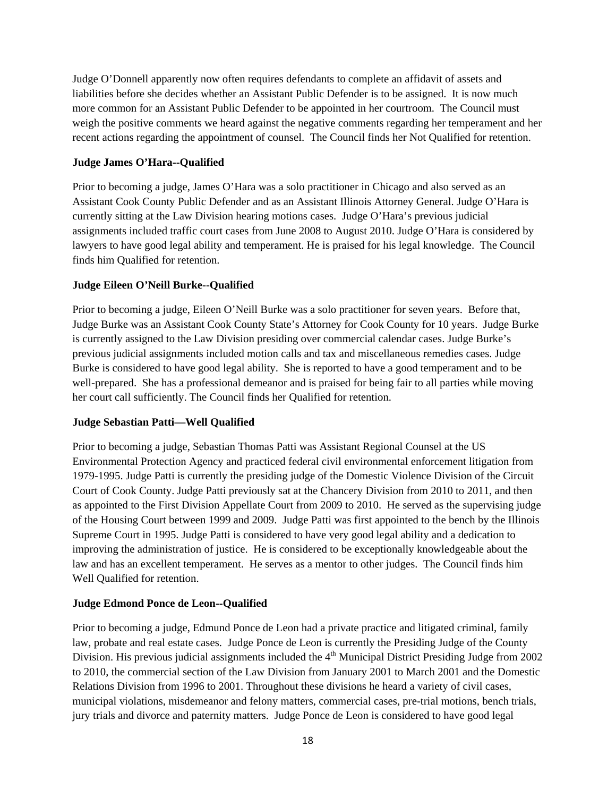Judge O'Donnell apparently now often requires defendants to complete an affidavit of assets and liabilities before she decides whether an Assistant Public Defender is to be assigned. It is now much more common for an Assistant Public Defender to be appointed in her courtroom. The Council must weigh the positive comments we heard against the negative comments regarding her temperament and her recent actions regarding the appointment of counsel. The Council finds her Not Qualified for retention.

#### **Judge James O'Hara--Qualified**

Prior to becoming a judge, James O'Hara was a solo practitioner in Chicago and also served as an Assistant Cook County Public Defender and as an Assistant Illinois Attorney General. Judge O'Hara is currently sitting at the Law Division hearing motions cases. Judge O'Hara's previous judicial assignments included traffic court cases from June 2008 to August 2010. Judge O'Hara is considered by lawyers to have good legal ability and temperament. He is praised for his legal knowledge. The Council finds him Qualified for retention.

### **Judge Eileen O'Neill Burke--Qualified**

Prior to becoming a judge, Eileen O'Neill Burke was a solo practitioner for seven years. Before that, Judge Burke was an Assistant Cook County State's Attorney for Cook County for 10 years. Judge Burke is currently assigned to the Law Division presiding over commercial calendar cases. Judge Burke's previous judicial assignments included motion calls and tax and miscellaneous remedies cases. Judge Burke is considered to have good legal ability. She is reported to have a good temperament and to be well-prepared. She has a professional demeanor and is praised for being fair to all parties while moving her court call sufficiently. The Council finds her Qualified for retention.

#### **Judge Sebastian Patti—Well Qualified**

Prior to becoming a judge, Sebastian Thomas Patti was Assistant Regional Counsel at the US Environmental Protection Agency and practiced federal civil environmental enforcement litigation from 1979-1995. Judge Patti is currently the presiding judge of the Domestic Violence Division of the Circuit Court of Cook County. Judge Patti previously sat at the Chancery Division from 2010 to 2011, and then as appointed to the First Division Appellate Court from 2009 to 2010. He served as the supervising judge of the Housing Court between 1999 and 2009. Judge Patti was first appointed to the bench by the Illinois Supreme Court in 1995. Judge Patti is considered to have very good legal ability and a dedication to improving the administration of justice. He is considered to be exceptionally knowledgeable about the law and has an excellent temperament. He serves as a mentor to other judges. The Council finds him Well Qualified for retention.

### **Judge Edmond Ponce de Leon--Qualified**

Prior to becoming a judge, Edmund Ponce de Leon had a private practice and litigated criminal, family law, probate and real estate cases. Judge Ponce de Leon is currently the Presiding Judge of the County Division. His previous judicial assignments included the  $4<sup>th</sup>$  Municipal District Presiding Judge from 2002 to 2010, the commercial section of the Law Division from January 2001 to March 2001 and the Domestic Relations Division from 1996 to 2001. Throughout these divisions he heard a variety of civil cases, municipal violations, misdemeanor and felony matters, commercial cases, pre-trial motions, bench trials, jury trials and divorce and paternity matters. Judge Ponce de Leon is considered to have good legal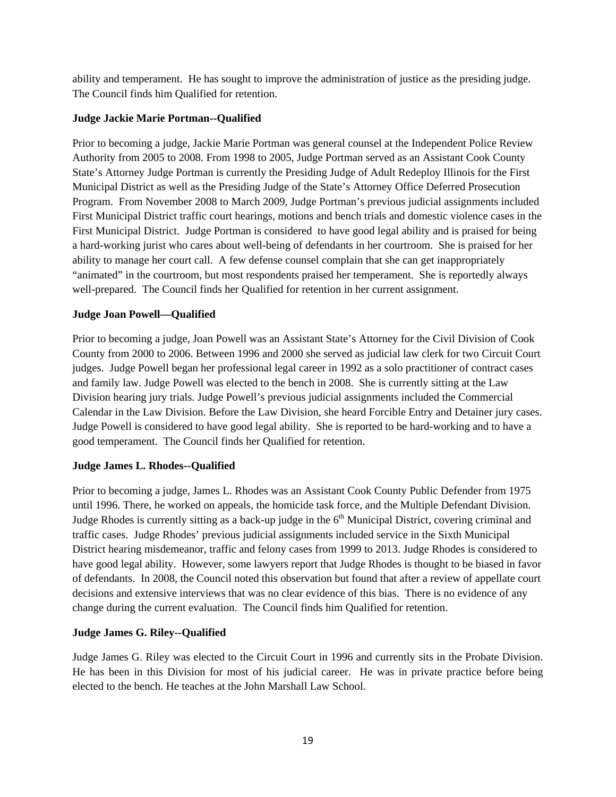ability and temperament. He has sought to improve the administration of justice as the presiding judge. The Council finds him Qualified for retention.

### **Judge Jackie Marie Portman--Qualified**

Prior to becoming a judge, Jackie Marie Portman was general counsel at the Independent Police Review Authority from 2005 to 2008. From 1998 to 2005, Judge Portman served as an Assistant Cook County State's Attorney Judge Portman is currently the Presiding Judge of Adult Redeploy Illinois for the First Municipal District as well as the Presiding Judge of the State's Attorney Office Deferred Prosecution Program. From November 2008 to March 2009, Judge Portman's previous judicial assignments included First Municipal District traffic court hearings, motions and bench trials and domestic violence cases in the First Municipal District. Judge Portman is considered to have good legal ability and is praised for being a hard-working jurist who cares about well-being of defendants in her courtroom. She is praised for her ability to manage her court call. A few defense counsel complain that she can get inappropriately "animated" in the courtroom, but most respondents praised her temperament. She is reportedly always well-prepared. The Council finds her Qualified for retention in her current assignment.

### **Judge Joan Powell—Qualified**

Prior to becoming a judge, Joan Powell was an Assistant State's Attorney for the Civil Division of Cook County from 2000 to 2006. Between 1996 and 2000 she served as judicial law clerk for two Circuit Court judges. Judge Powell began her professional legal career in 1992 as a solo practitioner of contract cases and family law. Judge Powell was elected to the bench in 2008. She is currently sitting at the Law Division hearing jury trials. Judge Powell's previous judicial assignments included the Commercial Calendar in the Law Division. Before the Law Division, she heard Forcible Entry and Detainer jury cases. Judge Powell is considered to have good legal ability. She is reported to be hard-working and to have a good temperament. The Council finds her Qualified for retention.

### **Judge James L. Rhodes--Qualified**

Prior to becoming a judge, James L. Rhodes was an Assistant Cook County Public Defender from 1975 until 1996. There, he worked on appeals, the homicide task force, and the Multiple Defendant Division. Judge Rhodes is currently sitting as a back-up judge in the  $6<sup>th</sup>$  Municipal District, covering criminal and traffic cases. Judge Rhodes' previous judicial assignments included service in the Sixth Municipal District hearing misdemeanor, traffic and felony cases from 1999 to 2013. Judge Rhodes is considered to have good legal ability. However, some lawyers report that Judge Rhodes is thought to be biased in favor of defendants. In 2008, the Council noted this observation but found that after a review of appellate court decisions and extensive interviews that was no clear evidence of this bias. There is no evidence of any change during the current evaluation. The Council finds him Qualified for retention.

### **Judge James G. Riley--Qualified**

Judge James G. Riley was elected to the Circuit Court in 1996 and currently sits in the Probate Division. He has been in this Division for most of his judicial career. He was in private practice before being elected to the bench. He teaches at the John Marshall Law School.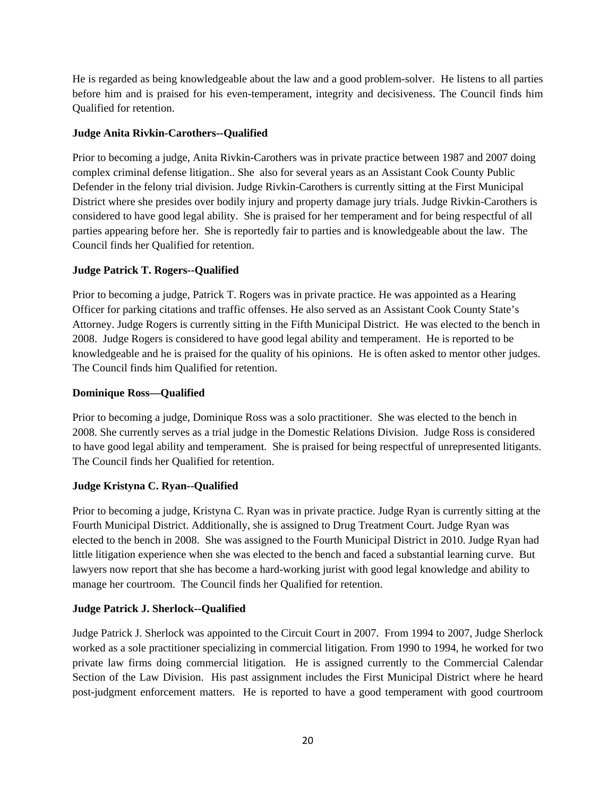He is regarded as being knowledgeable about the law and a good problem-solver. He listens to all parties before him and is praised for his even-temperament, integrity and decisiveness. The Council finds him Qualified for retention.

### **Judge Anita Rivkin-Carothers--Qualified**

Prior to becoming a judge, Anita Rivkin-Carothers was in private practice between 1987 and 2007 doing complex criminal defense litigation.. She also for several years as an Assistant Cook County Public Defender in the felony trial division. Judge Rivkin-Carothers is currently sitting at the First Municipal District where she presides over bodily injury and property damage jury trials. Judge Rivkin-Carothers is considered to have good legal ability. She is praised for her temperament and for being respectful of all parties appearing before her. She is reportedly fair to parties and is knowledgeable about the law. The Council finds her Qualified for retention.

### **Judge Patrick T. Rogers--Qualified**

Prior to becoming a judge, Patrick T. Rogers was in private practice. He was appointed as a Hearing Officer for parking citations and traffic offenses. He also served as an Assistant Cook County State's Attorney. Judge Rogers is currently sitting in the Fifth Municipal District. He was elected to the bench in 2008. Judge Rogers is considered to have good legal ability and temperament. He is reported to be knowledgeable and he is praised for the quality of his opinions. He is often asked to mentor other judges. The Council finds him Qualified for retention.

### **Dominique Ross—Qualified**

Prior to becoming a judge, Dominique Ross was a solo practitioner. She was elected to the bench in 2008. She currently serves as a trial judge in the Domestic Relations Division. Judge Ross is considered to have good legal ability and temperament. She is praised for being respectful of unrepresented litigants. The Council finds her Qualified for retention.

### **Judge Kristyna C. Ryan--Qualified**

Prior to becoming a judge, Kristyna C. Ryan was in private practice. Judge Ryan is currently sitting at the Fourth Municipal District. Additionally, she is assigned to Drug Treatment Court. Judge Ryan was elected to the bench in 2008. She was assigned to the Fourth Municipal District in 2010. Judge Ryan had little litigation experience when she was elected to the bench and faced a substantial learning curve. But lawyers now report that she has become a hard-working jurist with good legal knowledge and ability to manage her courtroom. The Council finds her Qualified for retention.

### **Judge Patrick J. Sherlock--Qualified**

Judge Patrick J. Sherlock was appointed to the Circuit Court in 2007. From 1994 to 2007, Judge Sherlock worked as a sole practitioner specializing in commercial litigation. From 1990 to 1994, he worked for two private law firms doing commercial litigation. He is assigned currently to the Commercial Calendar Section of the Law Division. His past assignment includes the First Municipal District where he heard post-judgment enforcement matters. He is reported to have a good temperament with good courtroom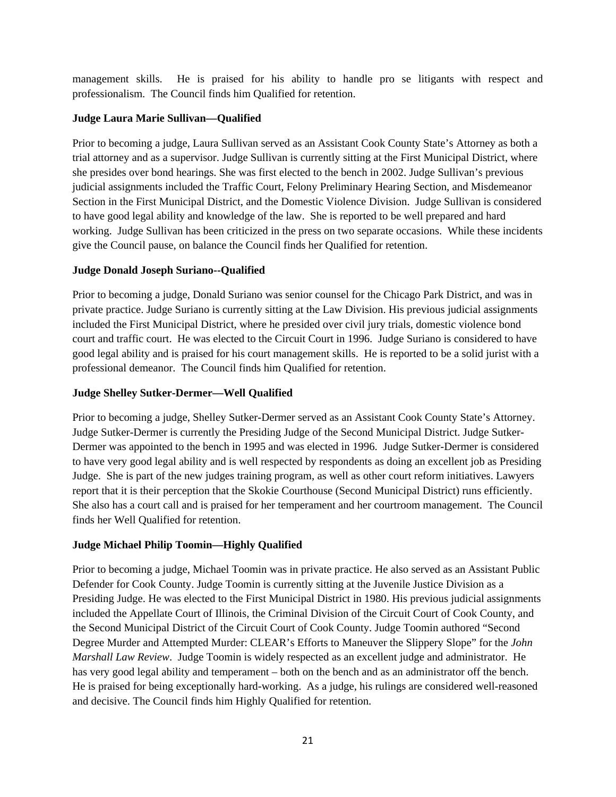management skills. He is praised for his ability to handle pro se litigants with respect and professionalism. The Council finds him Qualified for retention.

### **Judge Laura Marie Sullivan—Qualified**

Prior to becoming a judge, Laura Sullivan served as an Assistant Cook County State's Attorney as both a trial attorney and as a supervisor. Judge Sullivan is currently sitting at the First Municipal District, where she presides over bond hearings. She was first elected to the bench in 2002. Judge Sullivan's previous judicial assignments included the Traffic Court, Felony Preliminary Hearing Section, and Misdemeanor Section in the First Municipal District, and the Domestic Violence Division. Judge Sullivan is considered to have good legal ability and knowledge of the law. She is reported to be well prepared and hard working. Judge Sullivan has been criticized in the press on two separate occasions. While these incidents give the Council pause, on balance the Council finds her Qualified for retention.

### **Judge Donald Joseph Suriano--Qualified**

Prior to becoming a judge, Donald Suriano was senior counsel for the Chicago Park District, and was in private practice. Judge Suriano is currently sitting at the Law Division. His previous judicial assignments included the First Municipal District, where he presided over civil jury trials, domestic violence bond court and traffic court. He was elected to the Circuit Court in 1996. Judge Suriano is considered to have good legal ability and is praised for his court management skills. He is reported to be a solid jurist with a professional demeanor. The Council finds him Qualified for retention.

### **Judge Shelley Sutker-Dermer—Well Qualified**

Prior to becoming a judge, Shelley Sutker-Dermer served as an Assistant Cook County State's Attorney. Judge Sutker-Dermer is currently the Presiding Judge of the Second Municipal District. Judge Sutker-Dermer was appointed to the bench in 1995 and was elected in 1996. Judge Sutker-Dermer is considered to have very good legal ability and is well respected by respondents as doing an excellent job as Presiding Judge. She is part of the new judges training program, as well as other court reform initiatives. Lawyers report that it is their perception that the Skokie Courthouse (Second Municipal District) runs efficiently. She also has a court call and is praised for her temperament and her courtroom management. The Council finds her Well Qualified for retention.

### **Judge Michael Philip Toomin—Highly Qualified**

Prior to becoming a judge, Michael Toomin was in private practice. He also served as an Assistant Public Defender for Cook County. Judge Toomin is currently sitting at the Juvenile Justice Division as a Presiding Judge. He was elected to the First Municipal District in 1980. His previous judicial assignments included the Appellate Court of Illinois, the Criminal Division of the Circuit Court of Cook County, and the Second Municipal District of the Circuit Court of Cook County. Judge Toomin authored "Second Degree Murder and Attempted Murder: CLEAR's Efforts to Maneuver the Slippery Slope" for the *John Marshall Law Review*. Judge Toomin is widely respected as an excellent judge and administrator. He has very good legal ability and temperament – both on the bench and as an administrator off the bench. He is praised for being exceptionally hard-working. As a judge, his rulings are considered well-reasoned and decisive. The Council finds him Highly Qualified for retention.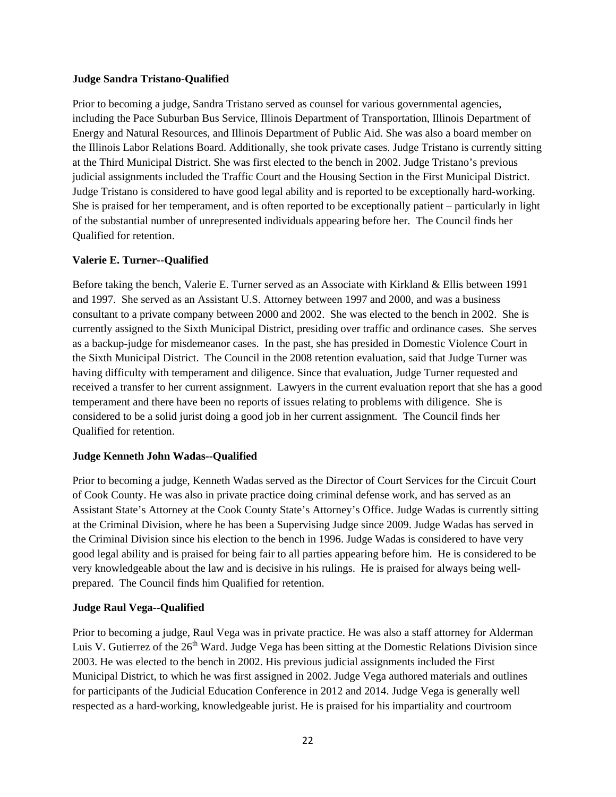#### **Judge Sandra Tristano-Qualified**

Prior to becoming a judge, Sandra Tristano served as counsel for various governmental agencies, including the Pace Suburban Bus Service, Illinois Department of Transportation, Illinois Department of Energy and Natural Resources, and Illinois Department of Public Aid. She was also a board member on the Illinois Labor Relations Board. Additionally, she took private cases. Judge Tristano is currently sitting at the Third Municipal District. She was first elected to the bench in 2002. Judge Tristano's previous judicial assignments included the Traffic Court and the Housing Section in the First Municipal District. Judge Tristano is considered to have good legal ability and is reported to be exceptionally hard-working. She is praised for her temperament, and is often reported to be exceptionally patient – particularly in light of the substantial number of unrepresented individuals appearing before her. The Council finds her Qualified for retention.

### **Valerie E. Turner--Qualified**

Before taking the bench, Valerie E. Turner served as an Associate with Kirkland & Ellis between 1991 and 1997. She served as an Assistant U.S. Attorney between 1997 and 2000, and was a business consultant to a private company between 2000 and 2002. She was elected to the bench in 2002. She is currently assigned to the Sixth Municipal District, presiding over traffic and ordinance cases. She serves as a backup-judge for misdemeanor cases. In the past, she has presided in Domestic Violence Court in the Sixth Municipal District. The Council in the 2008 retention evaluation, said that Judge Turner was having difficulty with temperament and diligence. Since that evaluation, Judge Turner requested and received a transfer to her current assignment. Lawyers in the current evaluation report that she has a good temperament and there have been no reports of issues relating to problems with diligence. She is considered to be a solid jurist doing a good job in her current assignment. The Council finds her Qualified for retention.

### **Judge Kenneth John Wadas--Qualified**

Prior to becoming a judge, Kenneth Wadas served as the Director of Court Services for the Circuit Court of Cook County. He was also in private practice doing criminal defense work, and has served as an Assistant State's Attorney at the Cook County State's Attorney's Office. Judge Wadas is currently sitting at the Criminal Division, where he has been a Supervising Judge since 2009. Judge Wadas has served in the Criminal Division since his election to the bench in 1996. Judge Wadas is considered to have very good legal ability and is praised for being fair to all parties appearing before him. He is considered to be very knowledgeable about the law and is decisive in his rulings. He is praised for always being wellprepared. The Council finds him Qualified for retention.

### **Judge Raul Vega--Qualified**

Prior to becoming a judge, Raul Vega was in private practice. He was also a staff attorney for Alderman Luis V. Gutierrez of the  $26<sup>th</sup>$  Ward. Judge Vega has been sitting at the Domestic Relations Division since 2003. He was elected to the bench in 2002. His previous judicial assignments included the First Municipal District, to which he was first assigned in 2002. Judge Vega authored materials and outlines for participants of the Judicial Education Conference in 2012 and 2014. Judge Vega is generally well respected as a hard-working, knowledgeable jurist. He is praised for his impartiality and courtroom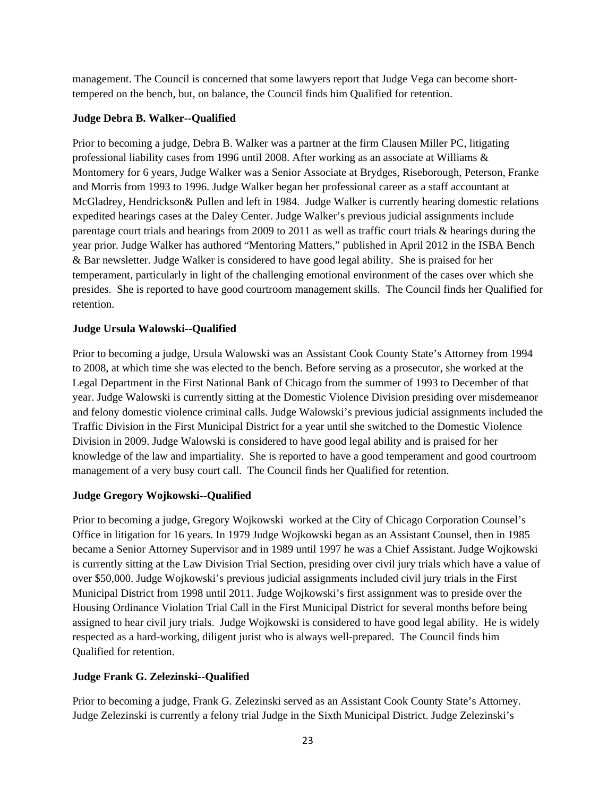management. The Council is concerned that some lawyers report that Judge Vega can become shorttempered on the bench, but, on balance, the Council finds him Qualified for retention.

### **Judge Debra B. Walker--Qualified**

Prior to becoming a judge, Debra B. Walker was a partner at the firm Clausen Miller PC, litigating professional liability cases from 1996 until 2008. After working as an associate at Williams & Montomery for 6 years, Judge Walker was a Senior Associate at Brydges, Riseborough, Peterson, Franke and Morris from 1993 to 1996. Judge Walker began her professional career as a staff accountant at McGladrey, Hendrickson& Pullen and left in 1984. Judge Walker is currently hearing domestic relations expedited hearings cases at the Daley Center. Judge Walker's previous judicial assignments include parentage court trials and hearings from 2009 to 2011 as well as traffic court trials & hearings during the year prior. Judge Walker has authored "Mentoring Matters," published in April 2012 in the ISBA Bench & Bar newsletter. Judge Walker is considered to have good legal ability. She is praised for her temperament, particularly in light of the challenging emotional environment of the cases over which she presides. She is reported to have good courtroom management skills. The Council finds her Qualified for retention.

### **Judge Ursula Walowski--Qualified**

Prior to becoming a judge, Ursula Walowski was an Assistant Cook County State's Attorney from 1994 to 2008, at which time she was elected to the bench. Before serving as a prosecutor, she worked at the Legal Department in the First National Bank of Chicago from the summer of 1993 to December of that year. Judge Walowski is currently sitting at the Domestic Violence Division presiding over misdemeanor and felony domestic violence criminal calls. Judge Walowski's previous judicial assignments included the Traffic Division in the First Municipal District for a year until she switched to the Domestic Violence Division in 2009. Judge Walowski is considered to have good legal ability and is praised for her knowledge of the law and impartiality. She is reported to have a good temperament and good courtroom management of a very busy court call. The Council finds her Qualified for retention.

### **Judge Gregory Wojkowski--Qualified**

Prior to becoming a judge, Gregory Wojkowski worked at the City of Chicago Corporation Counsel's Office in litigation for 16 years. In 1979 Judge Wojkowski began as an Assistant Counsel, then in 1985 became a Senior Attorney Supervisor and in 1989 until 1997 he was a Chief Assistant. Judge Wojkowski is currently sitting at the Law Division Trial Section, presiding over civil jury trials which have a value of over \$50,000. Judge Wojkowski's previous judicial assignments included civil jury trials in the First Municipal District from 1998 until 2011. Judge Wojkowski's first assignment was to preside over the Housing Ordinance Violation Trial Call in the First Municipal District for several months before being assigned to hear civil jury trials. Judge Wojkowski is considered to have good legal ability. He is widely respected as a hard-working, diligent jurist who is always well-prepared. The Council finds him Qualified for retention.

### **Judge Frank G. Zelezinski--Qualified**

Prior to becoming a judge, Frank G. Zelezinski served as an Assistant Cook County State's Attorney. Judge Zelezinski is currently a felony trial Judge in the Sixth Municipal District. Judge Zelezinski's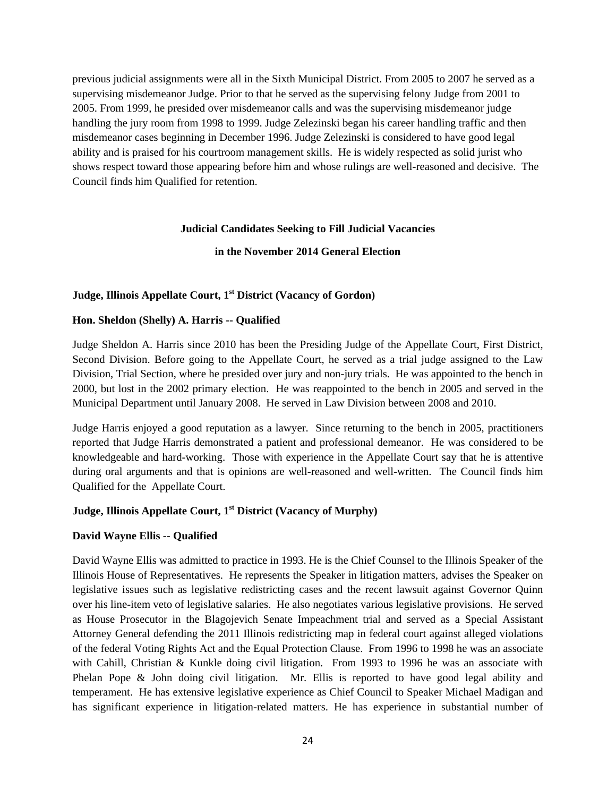previous judicial assignments were all in the Sixth Municipal District. From 2005 to 2007 he served as a supervising misdemeanor Judge. Prior to that he served as the supervising felony Judge from 2001 to 2005. From 1999, he presided over misdemeanor calls and was the supervising misdemeanor judge handling the jury room from 1998 to 1999. Judge Zelezinski began his career handling traffic and then misdemeanor cases beginning in December 1996. Judge Zelezinski is considered to have good legal ability and is praised for his courtroom management skills. He is widely respected as solid jurist who shows respect toward those appearing before him and whose rulings are well-reasoned and decisive. The Council finds him Qualified for retention.

#### **Judicial Candidates Seeking to Fill Judicial Vacancies**

### **in the November 2014 General Election**

### **Judge, Illinois Appellate Court, 1st District (Vacancy of Gordon)**

### **Hon. Sheldon (Shelly) A. Harris -- Qualified**

Judge Sheldon A. Harris since 2010 has been the Presiding Judge of the Appellate Court, First District, Second Division. Before going to the Appellate Court, he served as a trial judge assigned to the Law Division, Trial Section, where he presided over jury and non-jury trials. He was appointed to the bench in 2000, but lost in the 2002 primary election. He was reappointed to the bench in 2005 and served in the Municipal Department until January 2008. He served in Law Division between 2008 and 2010.

Judge Harris enjoyed a good reputation as a lawyer. Since returning to the bench in 2005, practitioners reported that Judge Harris demonstrated a patient and professional demeanor. He was considered to be knowledgeable and hard-working. Those with experience in the Appellate Court say that he is attentive during oral arguments and that is opinions are well-reasoned and well-written. The Council finds him Qualified for the Appellate Court.

### **Judge, Illinois Appellate Court, 1st District (Vacancy of Murphy)**

### **David Wayne Ellis -- Qualified**

David Wayne Ellis was admitted to practice in 1993. He is the Chief Counsel to the Illinois Speaker of the Illinois House of Representatives. He represents the Speaker in litigation matters, advises the Speaker on legislative issues such as legislative redistricting cases and the recent lawsuit against Governor Quinn over his line-item veto of legislative salaries. He also negotiates various legislative provisions. He served as House Prosecutor in the Blagojevich Senate Impeachment trial and served as a Special Assistant Attorney General defending the 2011 Illinois redistricting map in federal court against alleged violations of the federal Voting Rights Act and the Equal Protection Clause. From 1996 to 1998 he was an associate with Cahill, Christian & Kunkle doing civil litigation. From 1993 to 1996 he was an associate with Phelan Pope & John doing civil litigation. Mr. Ellis is reported to have good legal ability and temperament. He has extensive legislative experience as Chief Council to Speaker Michael Madigan and has significant experience in litigation-related matters. He has experience in substantial number of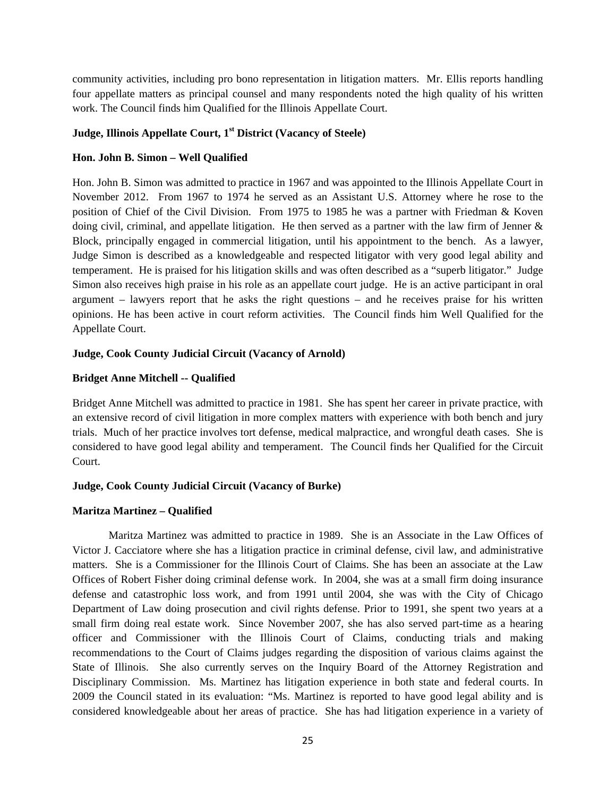community activities, including pro bono representation in litigation matters. Mr. Ellis reports handling four appellate matters as principal counsel and many respondents noted the high quality of his written work. The Council finds him Qualified for the Illinois Appellate Court.

### **Judge, Illinois Appellate Court, 1st District (Vacancy of Steele)**

### **Hon. John B. Simon – Well Qualified**

Hon. John B. Simon was admitted to practice in 1967 and was appointed to the Illinois Appellate Court in November 2012. From 1967 to 1974 he served as an Assistant U.S. Attorney where he rose to the position of Chief of the Civil Division. From 1975 to 1985 he was a partner with Friedman & Koven doing civil, criminal, and appellate litigation. He then served as a partner with the law firm of Jenner  $\&$ Block, principally engaged in commercial litigation, until his appointment to the bench. As a lawyer, Judge Simon is described as a knowledgeable and respected litigator with very good legal ability and temperament. He is praised for his litigation skills and was often described as a "superb litigator." Judge Simon also receives high praise in his role as an appellate court judge. He is an active participant in oral argument – lawyers report that he asks the right questions – and he receives praise for his written opinions. He has been active in court reform activities. The Council finds him Well Qualified for the Appellate Court.

### **Judge, Cook County Judicial Circuit (Vacancy of Arnold)**

### **Bridget Anne Mitchell -- Qualified**

Bridget Anne Mitchell was admitted to practice in 1981. She has spent her career in private practice, with an extensive record of civil litigation in more complex matters with experience with both bench and jury trials. Much of her practice involves tort defense, medical malpractice, and wrongful death cases. She is considered to have good legal ability and temperament. The Council finds her Qualified for the Circuit Court.

### **Judge, Cook County Judicial Circuit (Vacancy of Burke)**

### **Maritza Martinez – Qualified**

 Maritza Martinez was admitted to practice in 1989. She is an Associate in the Law Offices of Victor J. Cacciatore where she has a litigation practice in criminal defense, civil law, and administrative matters. She is a Commissioner for the Illinois Court of Claims. She has been an associate at the Law Offices of Robert Fisher doing criminal defense work. In 2004, she was at a small firm doing insurance defense and catastrophic loss work, and from 1991 until 2004, she was with the City of Chicago Department of Law doing prosecution and civil rights defense. Prior to 1991, she spent two years at a small firm doing real estate work. Since November 2007, she has also served part-time as a hearing officer and Commissioner with the Illinois Court of Claims, conducting trials and making recommendations to the Court of Claims judges regarding the disposition of various claims against the State of Illinois. She also currently serves on the Inquiry Board of the Attorney Registration and Disciplinary Commission. Ms. Martinez has litigation experience in both state and federal courts. In 2009 the Council stated in its evaluation: "Ms. Martinez is reported to have good legal ability and is considered knowledgeable about her areas of practice. She has had litigation experience in a variety of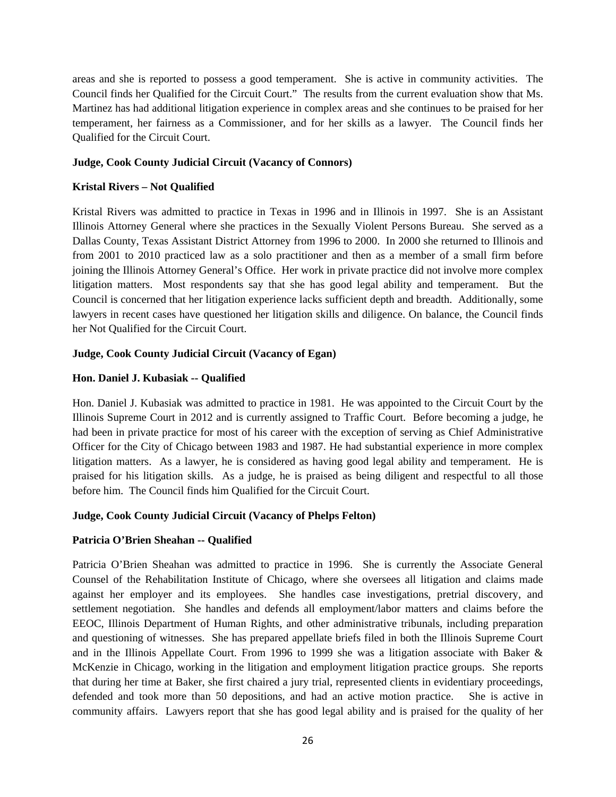areas and she is reported to possess a good temperament. She is active in community activities. The Council finds her Qualified for the Circuit Court." The results from the current evaluation show that Ms. Martinez has had additional litigation experience in complex areas and she continues to be praised for her temperament, her fairness as a Commissioner, and for her skills as a lawyer. The Council finds her Qualified for the Circuit Court.

#### **Judge, Cook County Judicial Circuit (Vacancy of Connors)**

#### **Kristal Rivers – Not Qualified**

Kristal Rivers was admitted to practice in Texas in 1996 and in Illinois in 1997. She is an Assistant Illinois Attorney General where she practices in the Sexually Violent Persons Bureau. She served as a Dallas County, Texas Assistant District Attorney from 1996 to 2000. In 2000 she returned to Illinois and from 2001 to 2010 practiced law as a solo practitioner and then as a member of a small firm before joining the Illinois Attorney General's Office. Her work in private practice did not involve more complex litigation matters. Most respondents say that she has good legal ability and temperament. But the Council is concerned that her litigation experience lacks sufficient depth and breadth. Additionally, some lawyers in recent cases have questioned her litigation skills and diligence. On balance, the Council finds her Not Qualified for the Circuit Court.

#### **Judge, Cook County Judicial Circuit (Vacancy of Egan)**

#### **Hon. Daniel J. Kubasiak -- Qualified**

Hon. Daniel J. Kubasiak was admitted to practice in 1981. He was appointed to the Circuit Court by the Illinois Supreme Court in 2012 and is currently assigned to Traffic Court. Before becoming a judge, he had been in private practice for most of his career with the exception of serving as Chief Administrative Officer for the City of Chicago between 1983 and 1987. He had substantial experience in more complex litigation matters. As a lawyer, he is considered as having good legal ability and temperament. He is praised for his litigation skills. As a judge, he is praised as being diligent and respectful to all those before him. The Council finds him Qualified for the Circuit Court.

### **Judge, Cook County Judicial Circuit (Vacancy of Phelps Felton)**

### **Patricia O'Brien Sheahan -- Qualified**

Patricia O'Brien Sheahan was admitted to practice in 1996. She is currently the Associate General Counsel of the Rehabilitation Institute of Chicago, where she oversees all litigation and claims made against her employer and its employees. She handles case investigations, pretrial discovery, and settlement negotiation. She handles and defends all employment/labor matters and claims before the EEOC, Illinois Department of Human Rights, and other administrative tribunals, including preparation and questioning of witnesses. She has prepared appellate briefs filed in both the Illinois Supreme Court and in the Illinois Appellate Court. From 1996 to 1999 she was a litigation associate with Baker & McKenzie in Chicago, working in the litigation and employment litigation practice groups. She reports that during her time at Baker, she first chaired a jury trial, represented clients in evidentiary proceedings, defended and took more than 50 depositions, and had an active motion practice. She is active in community affairs. Lawyers report that she has good legal ability and is praised for the quality of her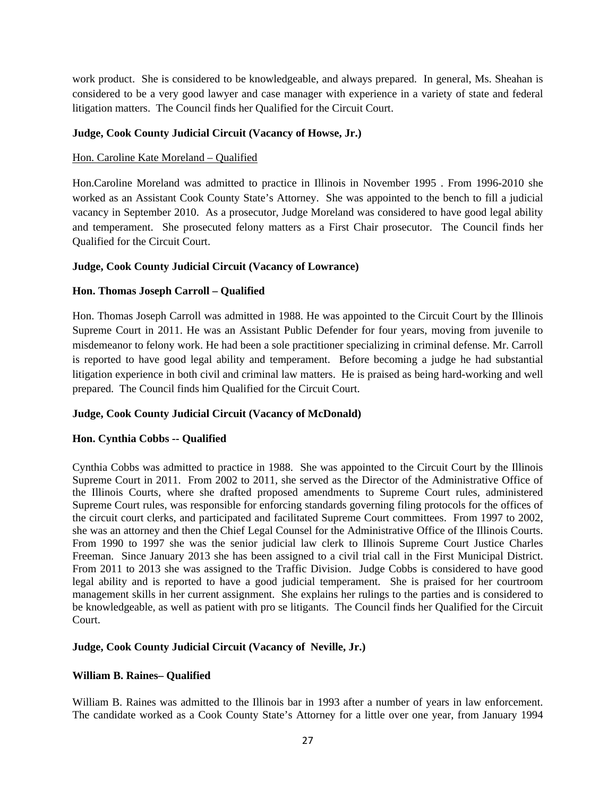work product. She is considered to be knowledgeable, and always prepared. In general, Ms. Sheahan is considered to be a very good lawyer and case manager with experience in a variety of state and federal litigation matters. The Council finds her Qualified for the Circuit Court.

### **Judge, Cook County Judicial Circuit (Vacancy of Howse, Jr.)**

### Hon. Caroline Kate Moreland – Qualified

Hon.Caroline Moreland was admitted to practice in Illinois in November 1995 . From 1996-2010 she worked as an Assistant Cook County State's Attorney. She was appointed to the bench to fill a judicial vacancy in September 2010. As a prosecutor, Judge Moreland was considered to have good legal ability and temperament. She prosecuted felony matters as a First Chair prosecutor. The Council finds her Qualified for the Circuit Court.

### **Judge, Cook County Judicial Circuit (Vacancy of Lowrance)**

### **Hon. Thomas Joseph Carroll – Qualified**

Hon. Thomas Joseph Carroll was admitted in 1988. He was appointed to the Circuit Court by the Illinois Supreme Court in 2011. He was an Assistant Public Defender for four years, moving from juvenile to misdemeanor to felony work. He had been a sole practitioner specializing in criminal defense. Mr. Carroll is reported to have good legal ability and temperament. Before becoming a judge he had substantial litigation experience in both civil and criminal law matters. He is praised as being hard-working and well prepared. The Council finds him Qualified for the Circuit Court.

### **Judge, Cook County Judicial Circuit (Vacancy of McDonald)**

### **Hon. Cynthia Cobbs -- Qualified**

Cynthia Cobbs was admitted to practice in 1988. She was appointed to the Circuit Court by the Illinois Supreme Court in 2011. From 2002 to 2011, she served as the Director of the Administrative Office of the Illinois Courts, where she drafted proposed amendments to Supreme Court rules, administered Supreme Court rules, was responsible for enforcing standards governing filing protocols for the offices of the circuit court clerks, and participated and facilitated Supreme Court committees. From 1997 to 2002, she was an attorney and then the Chief Legal Counsel for the Administrative Office of the Illinois Courts. From 1990 to 1997 she was the senior judicial law clerk to Illinois Supreme Court Justice Charles Freeman. Since January 2013 she has been assigned to a civil trial call in the First Municipal District. From 2011 to 2013 she was assigned to the Traffic Division. Judge Cobbs is considered to have good legal ability and is reported to have a good judicial temperament. She is praised for her courtroom management skills in her current assignment. She explains her rulings to the parties and is considered to be knowledgeable, as well as patient with pro se litigants. The Council finds her Qualified for the Circuit Court.

### **Judge, Cook County Judicial Circuit (Vacancy of Neville, Jr.)**

### **William B. Raines– Qualified**

William B. Raines was admitted to the Illinois bar in 1993 after a number of years in law enforcement. The candidate worked as a Cook County State's Attorney for a little over one year, from January 1994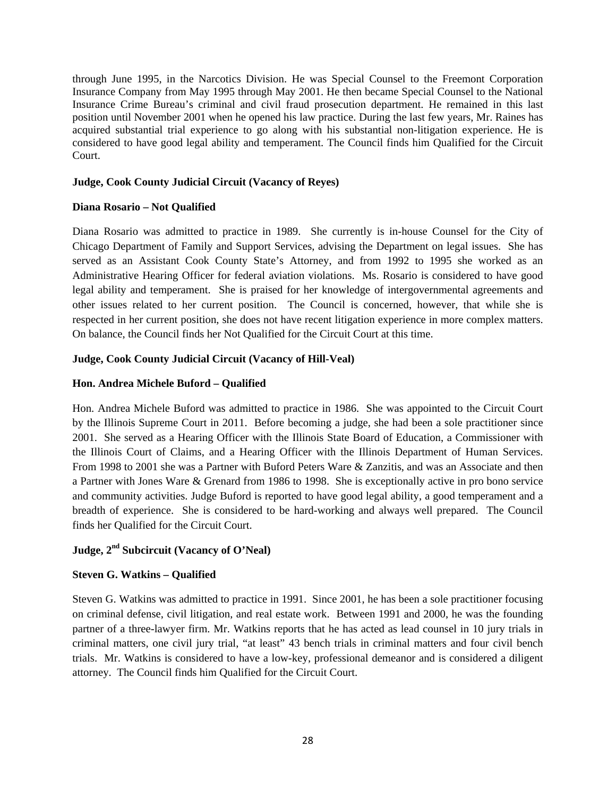through June 1995, in the Narcotics Division. He was Special Counsel to the Freemont Corporation Insurance Company from May 1995 through May 2001. He then became Special Counsel to the National Insurance Crime Bureau's criminal and civil fraud prosecution department. He remained in this last position until November 2001 when he opened his law practice. During the last few years, Mr. Raines has acquired substantial trial experience to go along with his substantial non-litigation experience. He is considered to have good legal ability and temperament. The Council finds him Qualified for the Circuit Court.

### **Judge, Cook County Judicial Circuit (Vacancy of Reyes)**

#### **Diana Rosario – Not Qualified**

Diana Rosario was admitted to practice in 1989. She currently is in-house Counsel for the City of Chicago Department of Family and Support Services, advising the Department on legal issues. She has served as an Assistant Cook County State's Attorney, and from 1992 to 1995 she worked as an Administrative Hearing Officer for federal aviation violations. Ms. Rosario is considered to have good legal ability and temperament. She is praised for her knowledge of intergovernmental agreements and other issues related to her current position. The Council is concerned, however, that while she is respected in her current position, she does not have recent litigation experience in more complex matters. On balance, the Council finds her Not Qualified for the Circuit Court at this time.

#### **Judge, Cook County Judicial Circuit (Vacancy of Hill-Veal)**

#### **Hon. Andrea Michele Buford – Qualified**

Hon. Andrea Michele Buford was admitted to practice in 1986. She was appointed to the Circuit Court by the Illinois Supreme Court in 2011. Before becoming a judge, she had been a sole practitioner since 2001. She served as a Hearing Officer with the Illinois State Board of Education, a Commissioner with the Illinois Court of Claims, and a Hearing Officer with the Illinois Department of Human Services. From 1998 to 2001 she was a Partner with Buford Peters Ware & Zanzitis, and was an Associate and then a Partner with Jones Ware & Grenard from 1986 to 1998. She is exceptionally active in pro bono service and community activities. Judge Buford is reported to have good legal ability, a good temperament and a breadth of experience. She is considered to be hard-working and always well prepared. The Council finds her Qualified for the Circuit Court.

### **Judge, 2nd Subcircuit (Vacancy of O'Neal)**

#### **Steven G. Watkins – Qualified**

Steven G. Watkins was admitted to practice in 1991. Since 2001, he has been a sole practitioner focusing on criminal defense, civil litigation, and real estate work. Between 1991 and 2000, he was the founding partner of a three-lawyer firm. Mr. Watkins reports that he has acted as lead counsel in 10 jury trials in criminal matters, one civil jury trial, "at least" 43 bench trials in criminal matters and four civil bench trials. Mr. Watkins is considered to have a low-key, professional demeanor and is considered a diligent attorney. The Council finds him Qualified for the Circuit Court.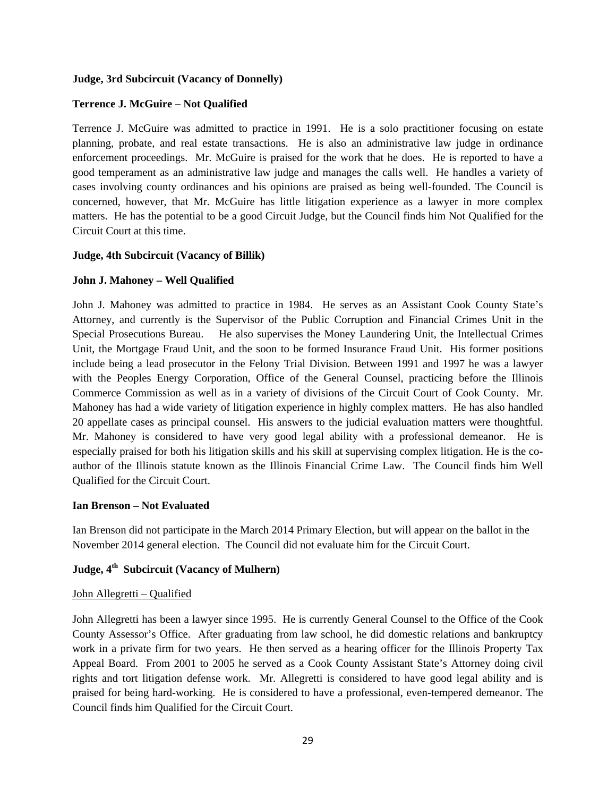#### **Judge, 3rd Subcircuit (Vacancy of Donnelly)**

### **Terrence J. McGuire – Not Qualified**

Terrence J. McGuire was admitted to practice in 1991. He is a solo practitioner focusing on estate planning, probate, and real estate transactions. He is also an administrative law judge in ordinance enforcement proceedings. Mr. McGuire is praised for the work that he does. He is reported to have a good temperament as an administrative law judge and manages the calls well. He handles a variety of cases involving county ordinances and his opinions are praised as being well-founded. The Council is concerned, however, that Mr. McGuire has little litigation experience as a lawyer in more complex matters. He has the potential to be a good Circuit Judge, but the Council finds him Not Qualified for the Circuit Court at this time.

#### **Judge, 4th Subcircuit (Vacancy of Billik)**

#### **John J. Mahoney – Well Qualified**

John J. Mahoney was admitted to practice in 1984. He serves as an Assistant Cook County State's Attorney, and currently is the Supervisor of the Public Corruption and Financial Crimes Unit in the Special Prosecutions Bureau. He also supervises the Money Laundering Unit, the Intellectual Crimes Unit, the Mortgage Fraud Unit, and the soon to be formed Insurance Fraud Unit. His former positions include being a lead prosecutor in the Felony Trial Division. Between 1991 and 1997 he was a lawyer with the Peoples Energy Corporation, Office of the General Counsel, practicing before the Illinois Commerce Commission as well as in a variety of divisions of the Circuit Court of Cook County. Mr. Mahoney has had a wide variety of litigation experience in highly complex matters. He has also handled 20 appellate cases as principal counsel. His answers to the judicial evaluation matters were thoughtful. Mr. Mahoney is considered to have very good legal ability with a professional demeanor. He is especially praised for both his litigation skills and his skill at supervising complex litigation. He is the coauthor of the Illinois statute known as the Illinois Financial Crime Law. The Council finds him Well Qualified for the Circuit Court.

#### **Ian Brenson – Not Evaluated**

Ian Brenson did not participate in the March 2014 Primary Election, but will appear on the ballot in the November 2014 general election. The Council did not evaluate him for the Circuit Court.

### **Judge, 4th Subcircuit (Vacancy of Mulhern)**

#### John Allegretti – Qualified

John Allegretti has been a lawyer since 1995. He is currently General Counsel to the Office of the Cook County Assessor's Office. After graduating from law school, he did domestic relations and bankruptcy work in a private firm for two years. He then served as a hearing officer for the Illinois Property Tax Appeal Board. From 2001 to 2005 he served as a Cook County Assistant State's Attorney doing civil rights and tort litigation defense work. Mr. Allegretti is considered to have good legal ability and is praised for being hard-working. He is considered to have a professional, even-tempered demeanor. The Council finds him Qualified for the Circuit Court.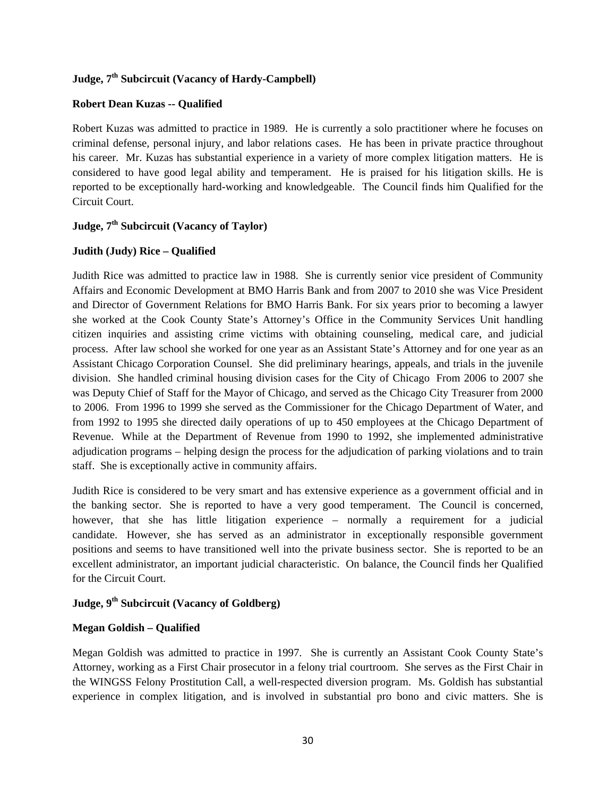# **Judge, 7th Subcircuit (Vacancy of Hardy-Campbell)**

### **Robert Dean Kuzas -- Qualified**

Robert Kuzas was admitted to practice in 1989. He is currently a solo practitioner where he focuses on criminal defense, personal injury, and labor relations cases. He has been in private practice throughout his career. Mr. Kuzas has substantial experience in a variety of more complex litigation matters. He is considered to have good legal ability and temperament. He is praised for his litigation skills. He is reported to be exceptionally hard-working and knowledgeable. The Council finds him Qualified for the Circuit Court.

### **Judge, 7th Subcircuit (Vacancy of Taylor)**

### **Judith (Judy) Rice – Qualified**

Judith Rice was admitted to practice law in 1988. She is currently senior vice president of Community Affairs and Economic Development at BMO Harris Bank and from 2007 to 2010 she was Vice President and Director of Government Relations for BMO Harris Bank. For six years prior to becoming a lawyer she worked at the Cook County State's Attorney's Office in the Community Services Unit handling citizen inquiries and assisting crime victims with obtaining counseling, medical care, and judicial process. After law school she worked for one year as an Assistant State's Attorney and for one year as an Assistant Chicago Corporation Counsel. She did preliminary hearings, appeals, and trials in the juvenile division. She handled criminal housing division cases for the City of Chicago From 2006 to 2007 she was Deputy Chief of Staff for the Mayor of Chicago, and served as the Chicago City Treasurer from 2000 to 2006. From 1996 to 1999 she served as the Commissioner for the Chicago Department of Water, and from 1992 to 1995 she directed daily operations of up to 450 employees at the Chicago Department of Revenue. While at the Department of Revenue from 1990 to 1992, she implemented administrative adjudication programs – helping design the process for the adjudication of parking violations and to train staff. She is exceptionally active in community affairs.

Judith Rice is considered to be very smart and has extensive experience as a government official and in the banking sector. She is reported to have a very good temperament. The Council is concerned, however, that she has little litigation experience – normally a requirement for a judicial candidate. However, she has served as an administrator in exceptionally responsible government positions and seems to have transitioned well into the private business sector. She is reported to be an excellent administrator, an important judicial characteristic. On balance, the Council finds her Qualified for the Circuit Court.

### **Judge, 9th Subcircuit (Vacancy of Goldberg)**

### **Megan Goldish – Qualified**

Megan Goldish was admitted to practice in 1997. She is currently an Assistant Cook County State's Attorney, working as a First Chair prosecutor in a felony trial courtroom. She serves as the First Chair in the WINGSS Felony Prostitution Call, a well-respected diversion program. Ms. Goldish has substantial experience in complex litigation, and is involved in substantial pro bono and civic matters. She is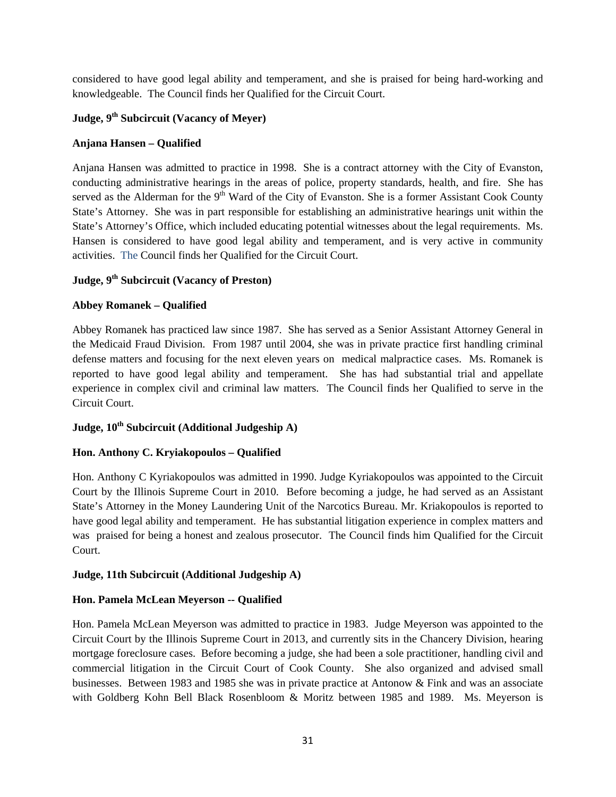considered to have good legal ability and temperament, and she is praised for being hard-working and knowledgeable. The Council finds her Qualified for the Circuit Court.

# **Judge, 9th Subcircuit (Vacancy of Meyer)**

### **Anjana Hansen – Qualified**

Anjana Hansen was admitted to practice in 1998. She is a contract attorney with the City of Evanston, conducting administrative hearings in the areas of police, property standards, health, and fire. She has served as the Alderman for the 9<sup>th</sup> Ward of the City of Evanston. She is a former Assistant Cook County State's Attorney. She was in part responsible for establishing an administrative hearings unit within the State's Attorney's Office, which included educating potential witnesses about the legal requirements. Ms. Hansen is considered to have good legal ability and temperament, and is very active in community activities. The Council finds her Qualified for the Circuit Court.

### **Judge, 9th Subcircuit (Vacancy of Preston)**

### **Abbey Romanek – Qualified**

Abbey Romanek has practiced law since 1987. She has served as a Senior Assistant Attorney General in the Medicaid Fraud Division. From 1987 until 2004, she was in private practice first handling criminal defense matters and focusing for the next eleven years on medical malpractice cases. Ms. Romanek is reported to have good legal ability and temperament. She has had substantial trial and appellate experience in complex civil and criminal law matters. The Council finds her Qualified to serve in the Circuit Court.

### Judge,  $10^{th}$  Subcircuit (Additional Judgeship A)

### **Hon. Anthony C. Kryiakopoulos – Qualified**

Hon. Anthony C Kyriakopoulos was admitted in 1990. Judge Kyriakopoulos was appointed to the Circuit Court by the Illinois Supreme Court in 2010. Before becoming a judge, he had served as an Assistant State's Attorney in the Money Laundering Unit of the Narcotics Bureau. Mr. Kriakopoulos is reported to have good legal ability and temperament. He has substantial litigation experience in complex matters and was praised for being a honest and zealous prosecutor. The Council finds him Qualified for the Circuit Court.

### **Judge, 11th Subcircuit (Additional Judgeship A)**

### **Hon. Pamela McLean Meyerson -- Qualified**

Hon. Pamela McLean Meyerson was admitted to practice in 1983. Judge Meyerson was appointed to the Circuit Court by the Illinois Supreme Court in 2013, and currently sits in the Chancery Division, hearing mortgage foreclosure cases. Before becoming a judge, she had been a sole practitioner, handling civil and commercial litigation in the Circuit Court of Cook County. She also organized and advised small businesses. Between 1983 and 1985 she was in private practice at Antonow & Fink and was an associate with Goldberg Kohn Bell Black Rosenbloom & Moritz between 1985 and 1989. Ms. Meyerson is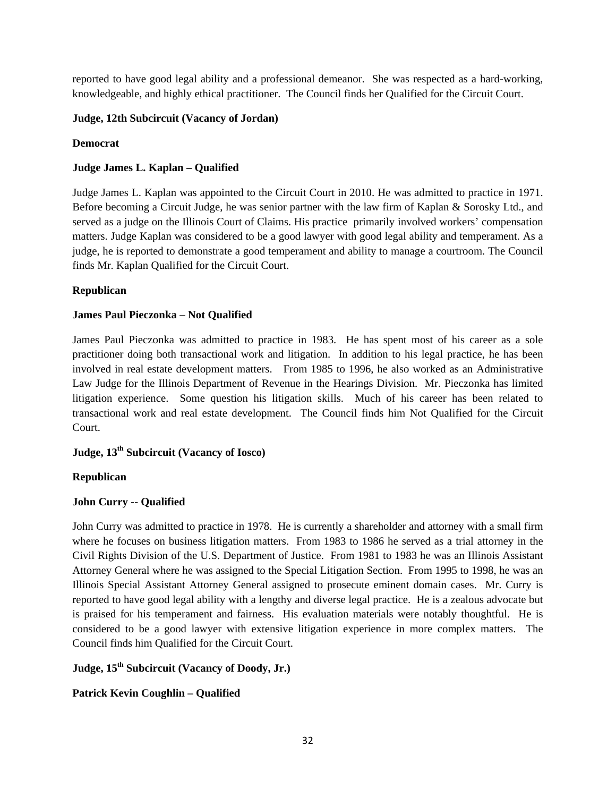reported to have good legal ability and a professional demeanor. She was respected as a hard-working, knowledgeable, and highly ethical practitioner. The Council finds her Qualified for the Circuit Court.

### **Judge, 12th Subcircuit (Vacancy of Jordan)**

### **Democrat**

### **Judge James L. Kaplan – Qualified**

Judge James L. Kaplan was appointed to the Circuit Court in 2010. He was admitted to practice in 1971. Before becoming a Circuit Judge, he was senior partner with the law firm of Kaplan & Sorosky Ltd., and served as a judge on the Illinois Court of Claims. His practice primarily involved workers' compensation matters. Judge Kaplan was considered to be a good lawyer with good legal ability and temperament. As a judge, he is reported to demonstrate a good temperament and ability to manage a courtroom. The Council finds Mr. Kaplan Qualified for the Circuit Court.

### **Republican**

### **James Paul Pieczonka – Not Qualified**

James Paul Pieczonka was admitted to practice in 1983. He has spent most of his career as a sole practitioner doing both transactional work and litigation. In addition to his legal practice, he has been involved in real estate development matters. From 1985 to 1996, he also worked as an Administrative Law Judge for the Illinois Department of Revenue in the Hearings Division. Mr. Pieczonka has limited litigation experience. Some question his litigation skills. Much of his career has been related to transactional work and real estate development. The Council finds him Not Qualified for the Circuit Court.

# **Judge, 13th Subcircuit (Vacancy of Iosco)**

### **Republican**

### **John Curry -- Qualified**

John Curry was admitted to practice in 1978. He is currently a shareholder and attorney with a small firm where he focuses on business litigation matters. From 1983 to 1986 he served as a trial attorney in the Civil Rights Division of the U.S. Department of Justice. From 1981 to 1983 he was an Illinois Assistant Attorney General where he was assigned to the Special Litigation Section. From 1995 to 1998, he was an Illinois Special Assistant Attorney General assigned to prosecute eminent domain cases. Mr. Curry is reported to have good legal ability with a lengthy and diverse legal practice. He is a zealous advocate but is praised for his temperament and fairness. His evaluation materials were notably thoughtful. He is considered to be a good lawyer with extensive litigation experience in more complex matters. The Council finds him Qualified for the Circuit Court.

## **Judge, 15th Subcircuit (Vacancy of Doody, Jr.)**

### **Patrick Kevin Coughlin – Qualified**